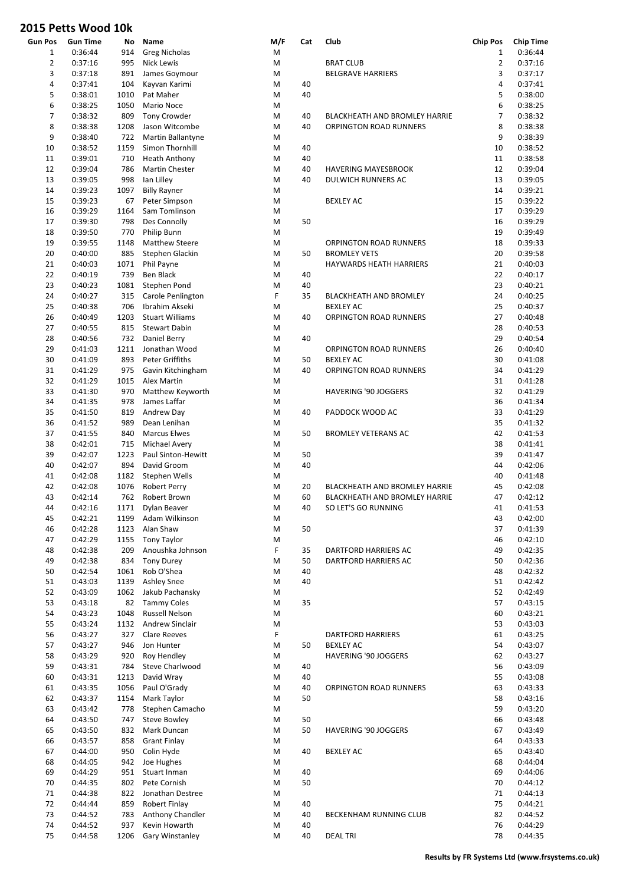| Gun Pos        | <b>Gun Time</b>    | No         | Name                                        | M/F    | Cat | Club                                 | <b>Chip Pos</b> | <b>Chip Time</b>   |
|----------------|--------------------|------------|---------------------------------------------|--------|-----|--------------------------------------|-----------------|--------------------|
| $\mathbf{1}$   | 0:36:44            | 914        | <b>Greg Nicholas</b>                        | M      |     |                                      | $\mathbf{1}$    | 0:36:44            |
| $\overline{2}$ | 0:37:16            | 995        | <b>Nick Lewis</b>                           | M      |     | <b>BRAT CLUB</b>                     | $\overline{2}$  | 0:37:16            |
| 3              | 0:37:18            | 891        | James Goymour                               | M      |     | <b>BELGRAVE HARRIERS</b>             | 3               | 0:37:17            |
| 4              | 0:37:41            | 104        | Kayvan Karimi                               | M      | 40  |                                      | 4               | 0:37:41            |
| 5              | 0:38:01            | 1010       | Pat Maher                                   | M      | 40  |                                      | 5               | 0:38:00            |
| 6              | 0:38:25            | 1050       | Mario Noce                                  | M      |     |                                      | 6               | 0:38:25            |
| $\overline{7}$ | 0:38:32            | 809        | <b>Tony Crowder</b>                         | M      | 40  | <b>BLACKHEATH AND BROMLEY HARRIE</b> | $\overline{7}$  | 0:38:32            |
| 8              | 0:38:38            | 1208       | Jason Witcombe                              | M      | 40  | ORPINGTON ROAD RUNNERS               | 8               | 0:38:38            |
| 9              | 0:38:40            | 722        | Martin Ballantyne                           | M      |     |                                      | 9               | 0:38:39            |
| 10             | 0:38:52            | 1159       | Simon Thornhill                             | M      | 40  |                                      | 10              | 0:38:52            |
| 11             | 0:39:01            | 710        | <b>Heath Anthony</b>                        | M      | 40  |                                      | 11              | 0:38:58            |
| 12             | 0:39:04            | 786        | <b>Martin Chester</b>                       | M      | 40  | <b>HAVERING MAYESBROOK</b>           | 12              | 0:39:04            |
| 13             | 0:39:05            | 998        | lan Lilley                                  | M      | 40  | <b>DULWICH RUNNERS AC</b>            | 13              | 0:39:05            |
| 14             | 0:39:23            | 1097       | <b>Billy Rayner</b>                         | M      |     |                                      | 14              | 0:39:21            |
| 15             | 0:39:23            | 67         | Peter Simpson                               | M      |     | <b>BEXLEY AC</b>                     | 15              | 0:39:22            |
| 16             | 0:39:29            | 1164       | Sam Tomlinson                               | M      |     |                                      | 17              | 0:39:29            |
| 17             | 0:39:30            | 798        | Des Connolly                                | M      | 50  |                                      | 16              | 0:39:29            |
| 18             | 0:39:50            | 770        | Philip Bunn                                 | M      |     |                                      | 19              | 0:39:49            |
| 19             | 0:39:55            | 1148       | <b>Matthew Steere</b>                       | M      |     | <b>ORPINGTON ROAD RUNNERS</b>        | 18              | 0:39:33            |
| 20             | 0:40:00            | 885        | Stephen Glackin                             | M      | 50  | <b>BROMLEY VETS</b>                  | 20              | 0:39:58            |
| 21             | 0:40:03            | 1071       | Phil Payne                                  | M      |     | <b>HAYWARDS HEATH HARRIERS</b>       | 21              | 0:40:03            |
| 22             | 0:40:19            | 739        | <b>Ben Black</b>                            | M      | 40  |                                      | 22              | 0:40:17            |
| 23             | 0:40:23            | 1081       | Stephen Pond                                | M      | 40  |                                      | 23              | 0:40:21            |
| 24             | 0:40:27            | 315        | Carole Penlington                           | F      | 35  | BLACKHEATH AND BROMLEY               | 24              | 0:40:25            |
| 25             | 0:40:38            | 706        | Ibrahim Akseki                              | M      |     | <b>BEXLEY AC</b>                     | 25              | 0:40:37            |
| 26             | 0:40:49            | 1203       | <b>Stuart Williams</b>                      | M      | 40  | <b>ORPINGTON ROAD RUNNERS</b>        | 27              | 0:40:48            |
| 27             | 0:40:55            | 815        | <b>Stewart Dabin</b>                        | M      |     |                                      | 28              | 0:40:53            |
| 28             | 0:40:56            | 732        | Daniel Berry                                | M      | 40  |                                      | 29              | 0:40:54            |
| 29             | 0:41:03            | 1211       | Jonathan Wood                               | M      |     | <b>ORPINGTON ROAD RUNNERS</b>        | 26              | 0:40:40            |
| 30             | 0:41:09            | 893        | <b>Peter Griffiths</b>                      | M      | 50  | <b>BEXLEY AC</b>                     | 30              | 0:41:08            |
| 31             | 0:41:29            | 975        | Gavin Kitchingham                           | M      | 40  | ORPINGTON ROAD RUNNERS               | 34              | 0:41:29            |
| 32             | 0:41:29            | 1015       | Alex Martin                                 | M      |     |                                      | 31              | 0:41:28            |
| 33             | 0:41:30            | 970        | Matthew Keyworth                            | M      |     | HAVERING '90 JOGGERS                 | 32              | 0:41:29            |
| 34             | 0:41:35            | 978        | James Laffar                                | M      |     |                                      | 36              | 0:41:34            |
| 35             | 0:41:50            | 819        | Andrew Day                                  | M      | 40  | PADDOCK WOOD AC                      | 33              | 0:41:29            |
| 36             | 0:41:52            | 989        | Dean Lenihan                                | M      |     |                                      | 35              | 0:41:32            |
| 37             | 0:41:55            | 840        | <b>Marcus Elwes</b>                         | M      | 50  | <b>BROMLEY VETERANS AC</b>           | 42              | 0:41:53            |
| 38             | 0:42:01            | 715        | Michael Avery                               | M      |     |                                      | 38              | 0:41:41            |
| 39             | 0:42:07            | 1223       | Paul Sinton-Hewitt                          | M      | 50  |                                      | 39              | 0:41:47            |
| 40             | 0:42:07            | 894        | David Groom                                 | M      | 40  |                                      | 44              | 0:42:06            |
| 41             | 0:42:08            | 1182       | Stephen Wells                               | M      |     |                                      | 40              | 0:41:48            |
| 42             | 0:42:08            | 1076       | <b>Robert Perry</b>                         | M      | 20  | BLACKHEATH AND BROMLEY HARRIE        | 45              | 0:42:08            |
| 43             | 0:42:14            | 762        | Robert Brown                                | M      | 60  | <b>BLACKHEATH AND BROMLEY HARRIE</b> | 47              | 0:42:12            |
| 44             | 0:42:16            | 1171       | Dylan Beaver                                | M      | 40  | SO LET'S GO RUNNING                  | 41              | 0:41:53            |
| 45             | 0:42:21            | 1199       | Adam Wilkinson                              | M      |     |                                      | 43              | 0:42:00            |
| 46             | 0:42:28            | 1123       | Alan Shaw                                   | M      | 50  |                                      | 37              | 0:41:39            |
| 47             | 0:42:29            | 1155       | <b>Tony Taylor</b>                          | M      |     |                                      | 46              | 0:42:10            |
| 48             | 0:42:38            | 209        | Anoushka Johnson                            | F      | 35  | DARTFORD HARRIERS AC                 | 49              | 0:42:35            |
| 49             | 0:42:38            | 834        | <b>Tony Durey</b>                           | M      | 50  | DARTFORD HARRIERS AC                 | 50              | 0:42:36            |
| 50             | 0:42:54            | 1061       | Rob O'Shea                                  | M      | 40  |                                      | 48              | 0:42:32            |
| 51<br>52       | 0:43:03            | 1139       | <b>Ashley Snee</b>                          | M      | 40  |                                      | 51              | 0:42:42            |
| 53             | 0:43:09            | 1062       | Jakub Pachansky                             | M      | 35  |                                      | 52<br>57        | 0:42:49            |
| 54             | 0:43:18<br>0:43:23 | 82<br>1048 | <b>Tammy Coles</b><br><b>Russell Nelson</b> | M<br>M |     |                                      | 60              | 0:43:15<br>0:43:21 |
| 55             | 0:43:24            | 1132       | Andrew Sinclair                             | M      |     |                                      | 53              | 0:43:03            |
| 56             | 0:43:27            | 327        | <b>Clare Reeves</b>                         | F      |     | <b>DARTFORD HARRIERS</b>             | 61              | 0:43:25            |
| 57             | 0:43:27            | 946        | Jon Hunter                                  | M      | 50  | <b>BEXLEY AC</b>                     | 54              | 0:43:07            |
| 58             | 0:43:29            | 920        | Roy Hendley                                 | M      |     | HAVERING '90 JOGGERS                 | 62              | 0:43:27            |
| 59             | 0:43:31            | 784        | Steve Charlwood                             | M      | 40  |                                      | 56              | 0:43:09            |
| 60             | 0:43:31            | 1213       | David Wray                                  | M      | 40  |                                      | 55              | 0:43:08            |
| 61             | 0:43:35            | 1056       | Paul O'Grady                                | M      | 40  | ORPINGTON ROAD RUNNERS               | 63              | 0:43:33            |
| 62             | 0:43:37            | 1154       | Mark Taylor                                 | M      | 50  |                                      | 58              | 0:43:16            |
| 63             | 0:43:42            | 778        | Stephen Camacho                             | M      |     |                                      | 59              | 0:43:20            |
| 64             | 0:43:50            | 747        | <b>Steve Bowley</b>                         | M      | 50  |                                      | 66              | 0:43:48            |
| 65             | 0:43:50            | 832        | Mark Duncan                                 | M      | 50  | HAVERING '90 JOGGERS                 | 67              | 0:43:49            |
| 66             | 0:43:57            | 858        | <b>Grant Finlay</b>                         | M      |     |                                      | 64              | 0:43:33            |
| 67             | 0:44:00            | 950        | Colin Hyde                                  | M      | 40  | <b>BEXLEY AC</b>                     | 65              | 0:43:40            |
| 68             | 0:44:05            | 942        | Joe Hughes                                  | M      |     |                                      | 68              | 0:44:04            |
| 69             | 0:44:29            | 951        | Stuart Inman                                | M      | 40  |                                      | 69              | 0:44:06            |
| 70             | 0:44:35            | 802        | Pete Cornish                                | M      | 50  |                                      | 70              | 0:44:12            |
| 71             | 0:44:38            | 822        | Jonathan Destree                            | M      |     |                                      | 71              | 0:44:13            |
| 72             | 0:44:44            | 859        | Robert Finlay                               | M      | 40  |                                      | 75              | 0:44:21            |
| 73             | 0:44:52            | 783        | Anthony Chandler                            | M      | 40  | BECKENHAM RUNNING CLUB               | 82              | 0:44:52            |
| 74             | 0:44:52            | 937        | Kevin Howarth                               | M      | 40  |                                      | 76              | 0:44:29            |
| 75             | 0:44:58            | 1206       | Gary Winstanley                             | M      | 40  | <b>DEAL TRI</b>                      | 78              | 0:44:35            |
|                |                    |            |                                             |        |     |                                      |                 |                    |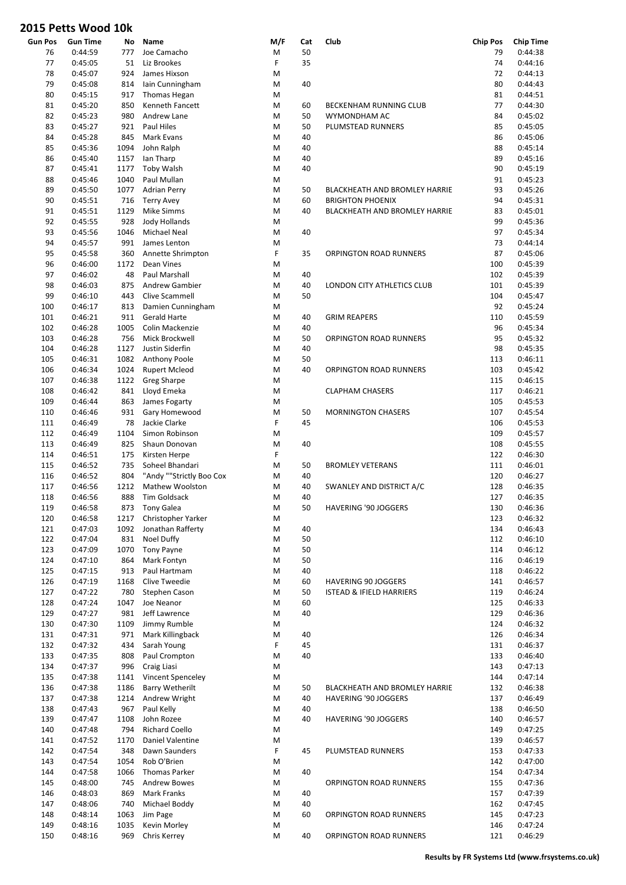| Gun Pos | <b>Gun Time</b> | No   | Name                     | M/F | Cat | Club                                | <b>Chip Pos</b> | Chip Time |
|---------|-----------------|------|--------------------------|-----|-----|-------------------------------------|-----------------|-----------|
| 76      | 0:44:59         | 777  | Joe Camacho              | Μ   | 50  |                                     | 79              | 0:44:38   |
| 77      | 0:45:05         | 51   | Liz Brookes              | F   | 35  |                                     | 74              | 0:44:16   |
| 78      | 0:45:07         | 924  | James Hixson             | M   |     |                                     | 72              | 0:44:13   |
| 79      | 0:45:08         | 814  | Iain Cunningham          | M   | 40  |                                     | 80              | 0:44:43   |
| 80      | 0:45:15         | 917  | Thomas Hegan             | M   |     |                                     | 81              | 0:44:51   |
| 81      | 0:45:20         | 850  | <b>Kenneth Fancett</b>   | M   | 60  | BECKENHAM RUNNING CLUB              | 77              | 0:44:30   |
| 82      | 0:45:23         | 980  | Andrew Lane              | M   | 50  | WYMONDHAM AC                        | 84              | 0:45:02   |
| 83      | 0:45:27         | 921  | Paul Hiles               | M   | 50  | PLUMSTEAD RUNNERS                   | 85              | 0:45:05   |
| 84      | 0:45:28         | 845  | Mark Evans               | M   | 40  |                                     | 86              | 0:45:06   |
| 85      | 0:45:36         | 1094 | John Ralph               | M   | 40  |                                     | 88              | 0:45:14   |
| 86      | 0:45:40         | 1157 | Ian Tharp                | M   | 40  |                                     | 89              | 0:45:16   |
| 87      | 0:45:41         | 1177 | <b>Toby Walsh</b>        | M   | 40  |                                     | 90              | 0:45:19   |
| 88      | 0:45:46         | 1040 | Paul Mullan              | M   |     |                                     | 91              | 0:45:23   |
| 89      | 0:45:50         | 1077 | <b>Adrian Perry</b>      | M   | 50  | BLACKHEATH AND BROMLEY HARRIE       | 93              | 0:45:26   |
| 90      | 0:45:51         | 716  | <b>Terry Avey</b>        | M   | 60  | <b>BRIGHTON PHOENIX</b>             | 94              | 0:45:31   |
| 91      | 0:45:51         | 1129 | <b>Mike Simms</b>        | M   | 40  | BLACKHEATH AND BROMLEY HARRIE       | 83              | 0:45:01   |
| 92      | 0:45:55         | 928  | Jody Hollands            | M   |     |                                     | 99              | 0:45:36   |
| 93      | 0:45:56         | 1046 | Michael Neal             | M   | 40  |                                     | 97              | 0:45:34   |
| 94      | 0:45:57         | 991  | James Lenton             | M   |     |                                     | 73              | 0:44:14   |
| 95      | 0:45:58         | 360  | Annette Shrimpton        | F   | 35  | ORPINGTON ROAD RUNNERS              | 87              | 0:45:06   |
| 96      | 0:46:00         | 1172 | Dean Vines               | M   |     |                                     | 100             | 0:45:39   |
|         |                 |      |                          |     |     |                                     |                 |           |
| 97      | 0:46:02         | 48   | Paul Marshall            | M   | 40  |                                     | 102             | 0:45:39   |
| 98      | 0:46:03         | 875  | <b>Andrew Gambier</b>    | M   | 40  | LONDON CITY ATHLETICS CLUB          | 101             | 0:45:39   |
| 99      | 0:46:10         | 443  | Clive Scammell           | M   | 50  |                                     | 104             | 0:45:47   |
| 100     | 0:46:17         | 813  | Damien Cunningham        | M   |     |                                     | 92              | 0:45:24   |
| 101     | 0:46:21         | 911  | Gerald Harte             | M   | 40  | <b>GRIM REAPERS</b>                 | 110             | 0:45:59   |
| 102     | 0:46:28         | 1005 | Colin Mackenzie          | M   | 40  |                                     | 96              | 0:45:34   |
| 103     | 0:46:28         | 756  | Mick Brockwell           | M   | 50  | ORPINGTON ROAD RUNNERS              | 95              | 0:45:32   |
| 104     | 0:46:28         | 1127 | Justin Siderfin          | M   | 40  |                                     | 98              | 0:45:35   |
| 105     | 0:46:31         | 1082 | Anthony Poole            | M   | 50  |                                     | 113             | 0:46:11   |
| 106     | 0:46:34         | 1024 | <b>Rupert Mcleod</b>     | M   | 40  | ORPINGTON ROAD RUNNERS              | 103             | 0:45:42   |
| 107     | 0:46:38         | 1122 | <b>Greg Sharpe</b>       | M   |     |                                     | 115             | 0:46:15   |
| 108     | 0:46:42         | 841  | Lloyd Emeka              | M   |     | <b>CLAPHAM CHASERS</b>              | 117             | 0:46:21   |
| 109     | 0:46:44         | 863  | James Fogarty            | M   |     |                                     | 105             | 0:45:53   |
| 110     | 0:46:46         | 931  | Gary Homewood            | M   | 50  | <b>MORNINGTON CHASERS</b>           | 107             | 0:45:54   |
| 111     | 0:46:49         | 78   | Jackie Clarke            | F   | 45  |                                     | 106             | 0:45:53   |
| 112     | 0:46:49         | 1104 | Simon Robinson           | M   |     |                                     | 109             | 0:45:57   |
| 113     | 0:46:49         | 825  | Shaun Donovan            | M   | 40  |                                     | 108             | 0:45:55   |
| 114     | 0:46:51         | 175  | Kirsten Herpe            | F   |     |                                     | 122             | 0:46:30   |
| 115     | 0:46:52         | 735  | Soheel Bhandari          | M   | 50  | <b>BROMLEY VETERANS</b>             | 111             | 0:46:01   |
| 116     | 0:46:52         | 804  | "Andy ""Strictly Boo Cox | M   | 40  |                                     | 120             | 0:46:27   |
| 117     | 0:46:56         | 1212 | Mathew Woolston          | M   | 40  | SWANLEY AND DISTRICT A/C            | 128             | 0:46:35   |
| 118     | 0:46:56         | 888  | Tim Goldsack             | M   | 40  |                                     | 127             | 0:46:35   |
| 119     | 0:46:58         | 873  | <b>Tony Galea</b>        | M   | 50  | HAVERING '90 JOGGERS                | 130             | 0:46:36   |
| 120     | 0:46:58         | 1217 | Christopher Yarker       | Μ   |     |                                     | 123             | 0:46:32   |
| 121     | 0:47:03         | 1092 | Jonathan Rafferty        | M   | 40  |                                     | 134             | 0:46:43   |
| 122     | 0:47:04         | 831  | Noel Duffy               | M   | 50  |                                     | 112             | 0:46:10   |
| 123     | 0:47:09         | 1070 | <b>Tony Payne</b>        | M   | 50  |                                     | 114             | 0:46:12   |
| 124     | 0:47:10         | 864  | Mark Fontyn              | M   | 50  |                                     | 116             | 0:46:19   |
| 125     | 0:47:15         | 913  | Paul Hartmam             | M   | 40  |                                     | 118             | 0:46:22   |
|         |                 |      | Clive Tweedie            |     |     |                                     |                 |           |
| 126     | 0:47:19         | 1168 |                          | M   | 60  | <b>HAVERING 90 JOGGERS</b>          | 141             | 0:46:57   |
| 127     | 0:47:22         | 780  | Stephen Cason            | M   | 50  | <b>ISTEAD &amp; IFIELD HARRIERS</b> | 119             | 0:46:24   |
| 128     | 0:47:24         | 1047 | Joe Neanor               | M   | 60  |                                     | 125             | 0:46:33   |
| 129     | 0:47:27         | 981  | Jeff Lawrence            | M   | 40  |                                     | 129             | 0:46:36   |
| 130     | 0:47:30         | 1109 | Jimmy Rumble             | M   |     |                                     | 124             | 0:46:32   |
| 131     | 0:47:31         | 971  | Mark Killingback         | M   | 40  |                                     | 126             | 0:46:34   |
| 132     | 0:47:32         | 434  | Sarah Young              | F   | 45  |                                     | 131             | 0:46:37   |
| 133     | 0:47:35         | 808  | Paul Crompton            | M   | 40  |                                     | 133             | 0:46:40   |
| 134     | 0:47:37         | 996  | Craig Liasi              | M   |     |                                     | 143             | 0:47:13   |
| 135     | 0:47:38         | 1141 | Vincent Spenceley        | Μ   |     |                                     | 144             | 0:47:14   |
| 136     | 0:47:38         | 1186 | <b>Barry Wetherilt</b>   | M   | 50  | BLACKHEATH AND BROMLEY HARRIE       | 132             | 0:46:38   |
| 137     | 0:47:38         | 1214 | Andrew Wright            | M   | 40  | HAVERING '90 JOGGERS                | 137             | 0:46:49   |
| 138     | 0:47:43         | 967  | Paul Kelly               | M   | 40  |                                     | 138             | 0:46:50   |
| 139     | 0:47:47         | 1108 | John Rozee               | M   | 40  | HAVERING '90 JOGGERS                | 140             | 0:46:57   |
| 140     | 0:47:48         | 794  | <b>Richard Coello</b>    | M   |     |                                     | 149             | 0:47:25   |
| 141     | 0:47:52         | 1170 | Daniel Valentine         | M   |     |                                     | 139             | 0:46:57   |
| 142     | 0:47:54         | 348  | Dawn Saunders            | F   | 45  | PLUMSTEAD RUNNERS                   | 153             | 0:47:33   |
| 143     | 0:47:54         | 1054 | Rob O'Brien              | M   |     |                                     | 142             | 0:47:00   |
| 144     | 0:47:58         | 1066 | <b>Thomas Parker</b>     | M   | 40  |                                     | 154             | 0:47:34   |
| 145     | 0:48:00         | 745  | <b>Andrew Bowes</b>      | M   |     | ORPINGTON ROAD RUNNERS              | 155             | 0:47:36   |
| 146     | 0:48:03         | 869  | Mark Franks              | M   | 40  |                                     | 157             | 0:47:39   |
| 147     | 0:48:06         | 740  | Michael Boddy            | M   | 40  |                                     | 162             | 0:47:45   |
| 148     | 0:48:14         | 1063 | Jim Page                 | M   | 60  | ORPINGTON ROAD RUNNERS              | 145             | 0:47:23   |
| 149     | 0:48:16         | 1035 | Kevin Morley             | M   |     |                                     | 146             | 0:47:24   |
| 150     | 0:48:16         | 969  | Chris Kerrey             | M   | 40  | ORPINGTON ROAD RUNNERS              | 121             | 0:46:29   |
|         |                 |      |                          |     |     |                                     |                 |           |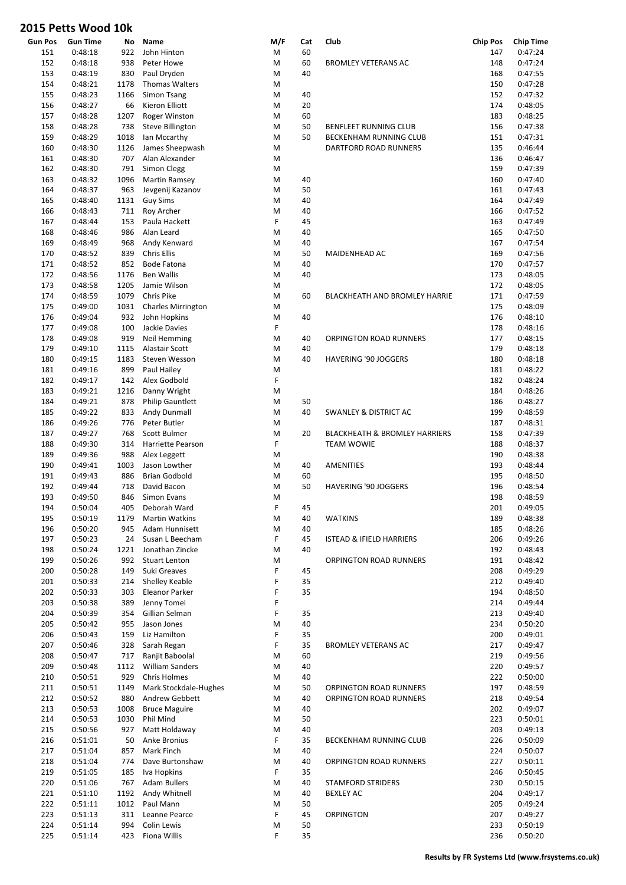| <b>Gun Pos</b> | <b>Gun Time</b>    | No         | Name                          | M/F    | Cat | Club                                     | <b>Chip Pos</b> | <b>Chip Time</b>   |
|----------------|--------------------|------------|-------------------------------|--------|-----|------------------------------------------|-----------------|--------------------|
| 151            | 0:48:18            | 922        | John Hinton                   | M      | 60  |                                          | 147             | 0:47:24            |
| 152            | 0:48:18            | 938        | Peter Howe                    | M      | 60  | <b>BROMLEY VETERANS AC</b>               | 148             | 0:47:24            |
| 153            | 0:48:19            | 830        | Paul Dryden                   | M      | 40  |                                          | 168             | 0:47:55            |
| 154            | 0:48:21            | 1178       | <b>Thomas Walters</b>         | M      |     |                                          | 150             | 0:47:28            |
| 155            | 0:48:23            | 1166       | Simon Tsang                   | M      | 40  |                                          | 152             | 0:47:32            |
| 156            | 0:48:27            | 66         | Kieron Elliott                | M      | 20  |                                          | 174             | 0:48:05            |
| 157            | 0:48:28            | 1207       | Roger Winston                 | M      | 60  |                                          | 183             | 0:48:25            |
| 158            | 0:48:28            | 738        | Steve Billington              | M      | 50  | BENFLEET RUNNING CLUB                    | 156             | 0:47:38            |
| 159            | 0:48:29            | 1018       | Ian Mccarthy                  | M      | 50  | BECKENHAM RUNNING CLUB                   | 151             | 0:47:31            |
| 160            | 0:48:30            | 1126       | James Sheepwash               | M      |     | DARTFORD ROAD RUNNERS                    | 135             | 0:46:44            |
| 161            | 0:48:30            | 707        | Alan Alexander                | M      |     |                                          | 136             | 0:46:47            |
| 162            | 0:48:30            | 791        | Simon Clegg                   | M      |     |                                          | 159             | 0:47:39            |
| 163            | 0:48:32            | 1096       | Martin Ramsey                 | M      | 40  |                                          | 160             | 0:47:40            |
| 164            | 0:48:37            | 963        | Jevgenij Kazanov              | M      | 50  |                                          | 161             | 0:47:43            |
| 165            | 0:48:40            | 1131       | <b>Guy Sims</b>               | M      | 40  |                                          | 164             | 0:47:49            |
| 166            | 0:48:43            | 711        | Roy Archer                    | M      | 40  |                                          | 166             | 0:47:52            |
| 167            | 0:48:44            | 153        | Paula Hackett                 | F      | 45  |                                          | 163             | 0:47:49            |
| 168            | 0:48:46            | 986        | Alan Leard                    | M      | 40  |                                          | 165             | 0:47:50            |
| 169            | 0:48:49            | 968        | Andy Kenward                  | M      | 40  |                                          | 167             | 0:47:54            |
| 170            | 0:48:52            | 839        | <b>Chris Ellis</b>            | M      | 50  | MAIDENHEAD AC                            | 169             | 0:47:56            |
| 171            | 0:48:52            | 852        | <b>Bode Fatona</b>            | M      | 40  |                                          | 170             | 0:47:57            |
| 172            | 0:48:56            | 1176       | <b>Ben Wallis</b>             | M      | 40  |                                          | 173             | 0:48:05            |
| 173            | 0:48:58            | 1205       | Jamie Wilson                  | M      |     |                                          | 172             | 0:48:05            |
| 174            | 0:48:59            | 1079       | Chris Pike                    | M      | 60  | <b>BLACKHEATH AND BROMLEY HARRIE</b>     | 171             | 0:47:59            |
| 175            | 0:49:00            | 1031       | <b>Charles Mirrington</b>     | M      |     |                                          | 175             | 0:48:09            |
| 176            | 0:49:04            | 932        | John Hopkins                  | M      | 40  |                                          | 176             | 0:48:10            |
| 177            | 0:49:08            | 100        | Jackie Davies                 | F      |     |                                          | 178             | 0:48:16            |
| 178            | 0:49:08            | 919        | Neil Hemming                  | M      | 40  | ORPINGTON ROAD RUNNERS                   | 177             | 0:48:15            |
| 179            | 0:49:10            | 1115       | Alastair Scott                | M      | 40  |                                          | 179             | 0:48:18            |
| 180            | 0:49:15            | 1183       | Steven Wesson                 | M      | 40  | HAVERING '90 JOGGERS                     | 180             | 0:48:18            |
| 181            | 0:49:16            | 899        | Paul Hailey                   | M      |     |                                          | 181             | 0:48:22            |
| 182            | 0:49:17            | 142        | Alex Godbold                  | F      |     |                                          | 182             | 0:48:24            |
| 183            | 0:49:21            | 1216       | Danny Wright                  | M      |     |                                          | 184             | 0:48:26            |
| 184            | 0:49:21            | 878        | <b>Philip Gauntlett</b>       | M      | 50  |                                          | 186             | 0:48:27            |
| 185            | 0:49:22            | 833        | Andy Dunmall                  | M      | 40  | <b>SWANLEY &amp; DISTRICT AC</b>         | 199             | 0:48:59            |
| 186            | 0:49:26            | 776        | Peter Butler                  | M      |     |                                          | 187             | 0:48:31            |
| 187            | 0:49:27            | 768        | Scott Bulmer                  | M      | 20  | <b>BLACKHEATH &amp; BROMLEY HARRIERS</b> | 158             | 0:47:39            |
| 188            | 0:49:30            | 314        | Harriette Pearson             | F      |     | <b>TEAM WOWIE</b>                        | 188             | 0:48:37            |
| 189            | 0:49:36            | 988        | Alex Leggett                  | M      |     |                                          | 190             | 0:48:38            |
| 190            | 0:49:41            | 1003       | Jason Lowther                 | M      | 40  | <b>AMENITIES</b>                         | 193             | 0:48:44            |
| 191            | 0:49:43            | 886        | <b>Brian Godbold</b>          | M      | 60  |                                          | 195             | 0:48:50            |
| 192            | 0:49:44            | 718        | David Bacon                   | M      | 50  | HAVERING '90 JOGGERS                     | 196             | 0:48:54            |
| 193            | 0:49:50            | 846        | Simon Evans                   | M      |     |                                          | 198             | 0:48:59            |
| 194            | 0:50:04            | 405        | Deborah Ward                  | F      | 45  |                                          | 201             | 0:49:05            |
| 195            | 0:50:19            | 1179       | <b>Martin Watkins</b>         | M      | 40  | <b>WATKINS</b>                           | 189             | 0:48:38            |
| 196            | 0:50:20            | 945        | Adam Hunnisett                | M      | 40  |                                          | 185             | 0:48:26            |
| 197            | 0:50:23            | 24         | Susan L Beecham               | F      | 45  | <b>ISTEAD &amp; IFIELD HARRIERS</b>      | 206             | 0:49:26            |
| 198            | 0:50:24            | 1221       | Jonathan Zincke               | M      | 40  |                                          | 192             | 0:48:43            |
| 199            | 0:50:26            | 992        | <b>Stuart Lenton</b>          | M      |     | ORPINGTON ROAD RUNNERS                   | 191             | 0:48:42            |
| 200            | 0:50:28            | 149        | Suki Greaves                  | F      | 45  |                                          | 208             | 0:49:29            |
| 201            | 0:50:33            | 214        | Shelley Keable                | F<br>F | 35  |                                          | 212             | 0:49:40            |
| 202<br>203     | 0:50:33<br>0:50:38 | 303<br>389 | Eleanor Parker<br>Jenny Tomei | F      | 35  |                                          | 194<br>214      | 0:48:50<br>0:49:44 |
| 204            | 0:50:39            | 354        | Gillian Selman                | F      | 35  |                                          | 213             | 0:49:40            |
| 205            | 0:50:42            | 955        | Jason Jones                   | M      | 40  |                                          | 234             | 0:50:20            |
| 206            | 0:50:43            | 159        | Liz Hamilton                  | F      | 35  |                                          | 200             | 0:49:01            |
| 207            | 0:50:46            | 328        | Sarah Regan                   | F      | 35  | <b>BROMLEY VETERANS AC</b>               | 217             | 0:49:47            |
| 208            | 0:50:47            | 717        | Ranjit Baboolal               | M      | 60  |                                          | 219             | 0:49:56            |
| 209            | 0:50:48            | 1112       | <b>William Sanders</b>        | M      | 40  |                                          | 220             | 0:49:57            |
| 210            | 0:50:51            | 929        | <b>Chris Holmes</b>           | M      | 40  |                                          | 222             | 0:50:00            |
| 211            | 0:50:51            | 1149       | Mark Stockdale-Hughes         | M      | 50  | ORPINGTON ROAD RUNNERS                   | 197             | 0:48:59            |
| 212            | 0:50:52            | 880        | Andrew Gebbett                | M      | 40  | ORPINGTON ROAD RUNNERS                   | 218             | 0:49:54            |
| 213            | 0:50:53            | 1008       | <b>Bruce Maguire</b>          | M      | 40  |                                          | 202             | 0:49:07            |
| 214            | 0:50:53            | 1030       | Phil Mind                     | M      | 50  |                                          | 223             | 0:50:01            |
| 215            | 0:50:56            | 927        | Matt Holdaway                 | M      | 40  |                                          | 203             | 0:49:13            |
| 216            | 0:51:01            | 50         | Anke Bronius                  | F      | 35  | BECKENHAM RUNNING CLUB                   | 226             | 0:50:09            |
| 217            | 0:51:04            | 857        | Mark Finch                    | M      | 40  |                                          | 224             | 0:50:07            |
| 218            | 0:51:04            | 774        | Dave Burtonshaw               | M      | 40  | ORPINGTON ROAD RUNNERS                   | 227             | 0:50:11            |
| 219            | 0:51:05            | 185        | Iva Hopkins                   | F      | 35  |                                          | 246             | 0:50:45            |
| 220            | 0:51:06            | 767        | <b>Adam Bullers</b>           | M      | 40  | <b>STAMFORD STRIDERS</b>                 | 230             | 0:50:15            |
| 221            | 0:51:10            | 1192       | Andy Whitnell                 | M      | 40  | <b>BEXLEY AC</b>                         | 204             | 0:49:17            |
| 222            | 0:51:11            | 1012       | Paul Mann                     | M      | 50  |                                          | 205             | 0:49:24            |
| 223            | 0:51:13            | 311        | Leanne Pearce                 | F      | 45  | ORPINGTON                                | 207             | 0:49:27            |
| 224            | 0:51:14            | 994        | Colin Lewis                   | M      | 50  |                                          | 233             | 0:50:19            |
| 225            | 0:51:14            | 423        | Fiona Willis                  | F      | 35  |                                          | 236             | 0:50:20            |
|                |                    |            |                               |        |     |                                          |                 |                    |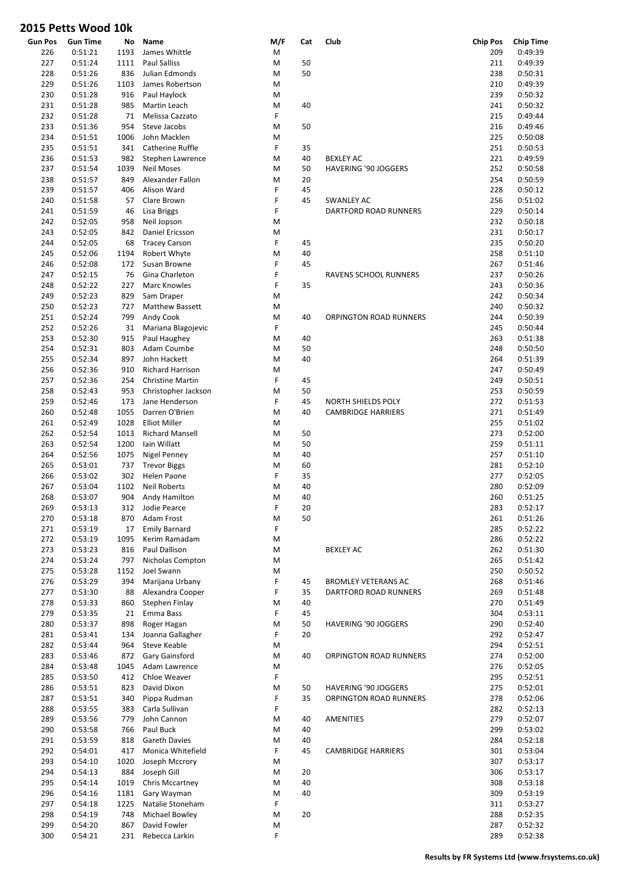|                |                 |      |                                    | M/F |     |                            |                 |                  |
|----------------|-----------------|------|------------------------------------|-----|-----|----------------------------|-----------------|------------------|
| <b>Gun Pos</b> | <b>Gun Time</b> | No   | Name                               |     | Cat | Club                       | <b>Chip Pos</b> | <b>Chip Time</b> |
| 226            | 0:51:21         | 1193 | James Whittle                      | M   |     |                            | 209             | 0:49:39          |
| 227            | 0:51:24         | 1111 | <b>Paul Salliss</b>                | M   | 50  |                            | 211             | 0:49:39          |
| 228            | 0:51:26         | 836  | Julian Edmonds                     | M   | 50  |                            | 238             | 0:50:31          |
| 229            | 0:51:26         | 1103 | James Robertson                    | M   |     |                            | 210             | 0:49:39          |
| 230            | 0:51:28         | 916  | Paul Haylock                       | M   |     |                            | 239             | 0:50:32          |
| 231            | 0:51:28         | 985  | Martin Leach                       | M   | 40  |                            | 241             | 0:50:32          |
| 232            | 0:51:28         | 71   | Melissa Cazzato                    | F   |     |                            | 215             | 0:49:44          |
| 233            | 0:51:36         | 954  | Steve Jacobs                       | M   | 50  |                            | 216             | 0:49:46          |
| 234            | 0:51:51         | 1006 | John Macklen                       | M   |     |                            | 225             | 0:50:08          |
| 235            | 0:51:51         | 341  | Catherine Ruffle                   | F   | 35  |                            | 251             | 0:50:53          |
| 236            | 0:51:53         | 982  | Stephen Lawrence                   | M   | 40  | <b>BEXLEY AC</b>           | 221             | 0:49:59          |
| 237            | 0:51:54         | 1039 | <b>Neil Moses</b>                  | M   | 50  | HAVERING '90 JOGGERS       | 252             | 0:50:58          |
| 238            | 0:51:57         | 849  | Alexander Fallon                   | M   | 20  |                            | 254             | 0:50:59          |
| 239            | 0:51:57         | 406  | Alison Ward                        | F   | 45  |                            | 228             | 0:50:12          |
| 240            | 0:51:58         | 57   | Clare Brown                        | F   | 45  | <b>SWANLEY AC</b>          | 256             | 0:51:02          |
| 241            | 0:51:59         | 46   | Lisa Briggs                        | F   |     | DARTFORD ROAD RUNNERS      | 229             | 0:50:14          |
| 242            | 0:52:05         | 958  | Neil Jopson                        | M   |     |                            | 232             | 0:50:18          |
| 243            | 0:52:05         | 842  | Daniel Ericsson                    | M   |     |                            | 231             | 0:50:17          |
| 244            | 0:52:05         | 68   | <b>Tracey Carson</b>               | F   | 45  |                            | 235             | 0:50:20          |
| 245            | 0:52:06         | 1194 | Robert Whyte                       | M   | 40  |                            | 258             | 0:51:10          |
| 246            | 0:52:08         | 172  | Susan Browne                       | F   | 45  |                            | 267             | 0:51:46          |
| 247            | 0:52:15         | 76   | Gina Charleton                     | F   |     | RAVENS SCHOOL RUNNERS      | 237             | 0:50:26          |
| 248            | 0:52:22         | 227  | Marc Knowles                       | F   | 35  |                            | 243             | 0:50:36          |
| 249            | 0:52:23         | 829  | Sam Draper                         | M   |     |                            | 242             | 0:50:34          |
| 250            | 0:52:23         | 727  | Matthew Bassett                    | M   |     |                            | 240             | 0:50:32          |
| 251            | 0:52:24         | 799  | Andy Cook                          | M   | 40  | ORPINGTON ROAD RUNNERS     | 244             | 0:50:39          |
| 252            | 0:52:26         | 31   | Mariana Blagojevic                 | F   |     |                            | 245             | 0:50:44          |
| 253            | 0:52:30         | 915  | Paul Haughey                       | M   | 40  |                            | 263             | 0:51:38          |
| 254            | 0:52:31         | 803  | Adam Coumbe                        | M   | 50  |                            | 248             | 0:50:50          |
| 255            | 0:52:34         | 897  | John Hackett                       | M   | 40  |                            | 264             | 0:51:39          |
| 256            | 0:52:36         | 910  | <b>Richard Harrison</b>            | M   |     |                            | 247             | 0:50:49          |
| 257            | 0:52:36         | 254  | <b>Christine Martin</b>            | F   | 45  |                            | 249             | 0:50:51          |
| 258            | 0:52:43         | 953  | Christopher Jackson                | M   | 50  |                            | 253             | 0:50:59          |
| 259            | 0:52:46         | 173  | Jane Henderson                     | F   | 45  | NORTH SHIELDS POLY         | 272             | 0:51:53          |
| 260            | 0:52:48         | 1055 | Darren O'Brien                     | M   | 40  | <b>CAMBRIDGE HARRIERS</b>  | 271             | 0:51:49          |
| 261            | 0:52:49         | 1028 | <b>Elliot Miller</b>               | M   |     |                            | 255             | 0:51:02          |
| 262            | 0:52:54         | 1013 | <b>Richard Mansell</b>             | M   | 50  |                            | 273             | 0:52:00          |
| 263            | 0:52:54         | 1200 | Iain Willatt                       | M   | 50  |                            | 259             | 0:51:11          |
| 264            | 0:52:56         | 1075 | Nigel Penney                       | M   | 40  |                            | 257             | 0:51:10          |
| 265            | 0:53:01         | 737  |                                    | M   | 60  |                            | 281             | 0:52:10          |
| 266            | 0:53:02         | 302  | <b>Trevor Biggs</b><br>Helen Paone | F   | 35  |                            | 277             | 0:52:05          |
|                |                 |      | <b>Neil Roberts</b>                |     | 40  |                            |                 |                  |
| 267            | 0:53:04         | 1102 |                                    | M   |     |                            | 280             | 0:52:09          |
| 268            | 0:53:07         | 904  | Andy Hamilton                      | M   | 40  |                            | 260             | 0:51:25          |
| 269            | 0:53:13         | 312  | Jodie Pearce                       | F   | 20  |                            | 283             | 0:52:17          |
| 270            | 0:53:18         | 870  | Adam Frost                         | M   | 50  |                            | 261             | 0:51:26          |
| 271            | 0:53:19         | 17   | <b>Emily Barnard</b>               | F   |     |                            | 285             | 0:52:22          |
| 272            | 0:53:19         | 1095 | Kerim Ramadam                      | M   |     |                            | 286             | 0:52:22          |
| 273            | 0:53:23         | 816  | Paul Dallison                      | M   |     | BEXLEY AC                  | 262             | 0:51:30          |
| 274            | 0:53:24         | 797  | Nicholas Compton                   | M   |     |                            | 265             | 0:51:42          |
| 275            | 0:53:28         | 1152 | Joel Swann                         | M   |     |                            | 250             | 0:50:52          |
| 276            | 0:53:29         | 394  | Marijana Urbany                    | F   | 45  | <b>BROMLEY VETERANS AC</b> | 268             | 0:51:46          |
| 277            | 0:53:30         | 88   | Alexandra Cooper                   | F   | 35  | DARTFORD ROAD RUNNERS      | 269             | 0:51:48          |
| 278            | 0:53:33         | 860  | Stephen Finlay                     | M   | 40  |                            | 270             | 0:51:49          |
| 279            | 0:53:35         | 21   | Emma Bass                          | F   | 45  |                            | 304             | 0:53:11          |
| 280            | 0:53:37         | 898  | Roger Hagan                        | M   | 50  | HAVERING '90 JOGGERS       | 290             | 0:52:40          |
| 281            | 0:53:41         | 134  | Joanna Gallagher                   | F   | 20  |                            | 292             | 0:52:47          |
| 282            | 0:53:44         | 964  | <b>Steve Keable</b>                | M   |     |                            | 294             | 0:52:51          |
| 283            | 0:53:46         | 872  | Gary Gainsford                     | M   | 40  | ORPINGTON ROAD RUNNERS     | 274             | 0:52:00          |
| 284            | 0:53:48         | 1045 | Adam Lawrence                      | M   |     |                            | 276             | 0:52:05          |
| 285            | 0:53:50         | 412  | Chloe Weaver                       | F   |     |                            | 295             | 0:52:51          |
| 286            | 0:53:51         | 823  | David Dixon                        | M   | 50  | HAVERING '90 JOGGERS       | 275             | 0:52:01          |
| 287            | 0:53:51         | 340  | Pippa Rudman                       | F   | 35  | ORPINGTON ROAD RUNNERS     | 278             | 0:52:06          |
| 288            | 0:53:55         | 383  | Carla Sullivan                     | F   |     |                            | 282             | 0:52:13          |
| 289            | 0:53:56         | 779  | John Cannon                        | M   | 40  | AMENITIES                  | 279             | 0:52:07          |
| 290            | 0:53:58         | 766  | Paul Buck                          | M   | 40  |                            | 299             | 0:53:02          |
| 291            | 0:53:59         | 818  | Gareth Davies                      | M   | 40  |                            | 284             | 0:52:18          |
| 292            | 0:54:01         | 417  | Monica Whitefield                  | F   | 45  | <b>CAMBRIDGE HARRIERS</b>  | 301             | 0:53:04          |
| 293            | 0:54:10         | 1020 | Joseph Mccrory                     | M   |     |                            | 307             | 0:53:17          |
| 294            | 0:54:13         | 884  | Joseph Gill                        | M   | 20  |                            | 306             | 0:53:17          |
| 295            | 0:54:14         | 1019 | Chris Mccartney                    | M   | 40  |                            | 308             | 0:53:18          |
| 296            | 0:54:16         | 1181 | Gary Wayman                        | M   | 40  |                            | 309             | 0:53:19          |
| 297            | 0:54:18         | 1225 | Natalie Stoneham                   | F   |     |                            | 311             | 0:53:27          |
| 298            | 0:54:19         | 748  | Michael Bowley                     | M   | 20  |                            | 288             | 0:52:35          |
| 299            | 0:54:20         | 867  | David Fowler                       | M   |     |                            | 287             | 0:52:32          |
| 300            | 0:54:21         | 231  | Rebecca Larkin                     | F   |     |                            | 289             | 0:52:38          |
|                |                 |      |                                    |     |     |                            |                 |                  |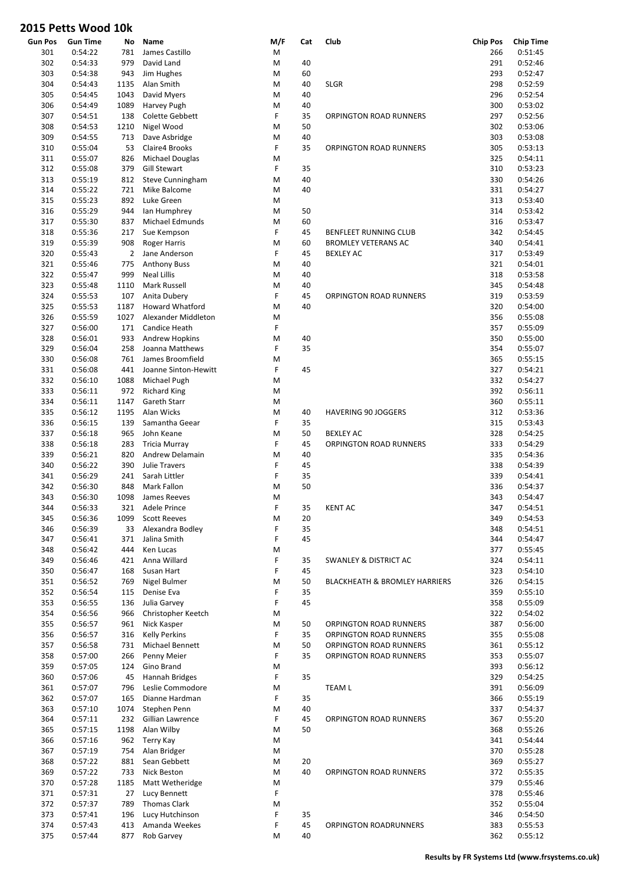| <b>Gun Pos</b> | <b>Gun Time</b>    | No             | Name                                   | M/F    | Cat      | Club                                     | <b>Chip Pos</b> | <b>Chip Time</b>   |
|----------------|--------------------|----------------|----------------------------------------|--------|----------|------------------------------------------|-----------------|--------------------|
| 301            | 0:54:22            | 781            | James Castillo                         | M      |          |                                          | 266             | 0:51:45            |
| 302            | 0:54:33            | 979            | David Land                             | M      | 40       |                                          | 291             | 0:52:46            |
| 303            | 0:54:38            | 943            | Jim Hughes                             | M      | 60       |                                          | 293             | 0:52:47            |
| 304            | 0:54:43            | 1135           | Alan Smith                             | M      | 40       | <b>SLGR</b>                              | 298             | 0:52:59            |
| 305            | 0:54:45            | 1043           | David Myers                            | M      | 40       |                                          | 296             | 0:52:54            |
| 306            | 0:54:49            | 1089           | Harvey Pugh                            | M      | 40       |                                          | 300             | 0:53:02            |
| 307            | 0:54:51            | 138            | Colette Gebbett                        | F      | 35       | ORPINGTON ROAD RUNNERS                   | 297             | 0:52:56            |
| 308            | 0:54:53            | 1210           | Nigel Wood                             | M      | 50       |                                          | 302<br>303      | 0:53:06<br>0:53:08 |
| 309            | 0:54:55            | 713            | Dave Asbridge                          | M<br>F | 40<br>35 |                                          | 305             | 0:53:13            |
| 310            | 0:55:04            | 53             | Claire4 Brooks                         |        |          | ORPINGTON ROAD RUNNERS                   | 325             |                    |
| 311<br>312     | 0:55:07<br>0:55:08 | 826<br>379     | Michael Douglas<br><b>Gill Stewart</b> | M<br>F | 35       |                                          | 310             | 0:54:11<br>0:53:23 |
| 313            | 0:55:19            | 812            | <b>Steve Cunningham</b>                | M      | 40       |                                          | 330             | 0:54:26            |
| 314            | 0:55:22            | 721            | Mike Balcome                           | M      | 40       |                                          | 331             | 0:54:27            |
| 315            | 0:55:23            | 892            | Luke Green                             | M      |          |                                          | 313             | 0:53:40            |
| 316            | 0:55:29            | 944            |                                        | M      | 50       |                                          | 314             | 0:53:42            |
| 317            | 0:55:30            | 837            | lan Humphrey<br>Michael Edmunds        | M      | 60       |                                          | 316             | 0:53:47            |
| 318            | 0:55:36            | 217            | Sue Kempson                            | F      | 45       | BENFLEET RUNNING CLUB                    | 342             | 0:54:45            |
| 319            | 0:55:39            | 908            | <b>Roger Harris</b>                    | M      | 60       | <b>BROMLEY VETERANS AC</b>               | 340             | 0:54:41            |
| 320            | 0:55:43            | $\overline{2}$ | Jane Anderson                          | F      | 45       | <b>BEXLEY AC</b>                         | 317             | 0:53:49            |
| 321            | 0:55:46            | 775            | <b>Anthony Buss</b>                    | M      | 40       |                                          | 321             | 0:54:01            |
| 322            | 0:55:47            | 999            | <b>Neal Lillis</b>                     | M      | 40       |                                          | 318             | 0:53:58            |
| 323            | 0:55:48            | 1110           | Mark Russell                           | M      | 40       |                                          | 345             | 0:54:48            |
| 324            | 0:55:53            | 107            | Anita Dubery                           | F      | 45       | <b>ORPINGTON ROAD RUNNERS</b>            | 319             | 0:53:59            |
| 325            | 0:55:53            | 1187           | <b>Howard Whatford</b>                 | M      | 40       |                                          | 320             | 0:54:00            |
| 326            | 0:55:59            | 1027           | Alexander Middleton                    | M      |          |                                          | 356             | 0:55:08            |
| 327            | 0:56:00            | 171            | Candice Heath                          | F      |          |                                          | 357             | 0:55:09            |
| 328            | 0:56:01            | 933            | Andrew Hopkins                         | M      | 40       |                                          | 350             | 0:55:00            |
| 329            | 0:56:04            | 258            | Joanna Matthews                        | F      | 35       |                                          | 354             | 0:55:07            |
| 330            | 0:56:08            | 761            | James Broomfield                       | M      |          |                                          | 365             | 0:55:15            |
| 331            | 0:56:08            | 441            | Joanne Sinton-Hewitt                   | F      | 45       |                                          | 327             | 0:54:21            |
| 332            | 0:56:10            | 1088           | Michael Pugh                           | M      |          |                                          | 332             | 0:54:27            |
| 333            | 0:56:11            | 972            | <b>Richard King</b>                    | M      |          |                                          | 392             | 0:56:11            |
| 334            | 0:56:11            | 1147           | Gareth Starr                           | M      |          |                                          | 360             | 0:55:11            |
| 335            | 0:56:12            | 1195           | Alan Wicks                             | M      | 40       | <b>HAVERING 90 JOGGERS</b>               | 312             | 0:53:36            |
| 336            | 0:56:15            | 139            | Samantha Geear                         | F      | 35       |                                          | 315             | 0:53:43            |
| 337            | 0:56:18            | 965            | John Keane                             | M      | 50       | <b>BEXLEY AC</b>                         | 328             | 0:54:25            |
| 338            | 0:56:18            | 283            | <b>Tricia Murray</b>                   | F      | 45       | ORPINGTON ROAD RUNNERS                   | 333             | 0:54:29            |
| 339            | 0:56:21            | 820            | Andrew Delamain                        | M      | 40       |                                          | 335             | 0:54:36            |
| 340            | 0:56:22            | 390            | <b>Julie Travers</b>                   | F      | 45       |                                          | 338             | 0:54:39            |
| 341            | 0:56:29            | 241            | Sarah Littler                          | F      | 35       |                                          | 339             | 0:54:41            |
| 342            | 0:56:30            | 848            | Mark Fallon                            | M      | 50       |                                          | 336             | 0:54:37            |
| 343            | 0:56:30            | 1098           | James Reeves                           | M      |          |                                          | 343             | 0:54:47            |
| 344            | 0:56:33            | 321            | Adele Prince                           | F      | 35       | <b>KENT AC</b>                           | 347             | 0:54:51            |
| 345            | 0:56:36            | 1099           | <b>Scott Reeves</b>                    | M      | 20       |                                          | 349             | 0:54:53            |
| 346            | 0:56:39            | 33             | Alexandra Bodley                       | F      | 35       |                                          | 348             | 0:54:51            |
| 347            | 0:56:41            | 371            | Jalina Smith                           | F      | 45       |                                          | 344             | 0:54:47            |
| 348            | 0:56:42            | 444            | Ken Lucas                              | M      |          |                                          | 377             | 0:55:45            |
| 349            | 0:56:46            | 421            | Anna Willard                           | F      | 35       | <b>SWANLEY &amp; DISTRICT AC</b>         | 324             | 0:54:11            |
| 350            | 0:56:47            | 168            | Susan Hart                             | F      | 45       |                                          | 323             | 0:54:10            |
| 351            | 0:56:52            | 769            | Nigel Bulmer                           | M      | 50       | <b>BLACKHEATH &amp; BROMLEY HARRIERS</b> | 326             | 0:54:15            |
| 352            | 0:56:54            | 115            | Denise Eva                             | F      | 35       |                                          | 359             | 0:55:10            |
| 353            | 0:56:55            | 136            | Julia Garvey                           | F      | 45       |                                          | 358             | 0:55:09            |
| 354            | 0:56:56            | 966            | Christopher Keetch                     | M      |          |                                          | 322             | 0:54:02            |
| 355            | 0:56:57            | 961            | Nick Kasper                            | M      | 50       | ORPINGTON ROAD RUNNERS                   | 387             | 0:56:00            |
| 356            | 0:56:57            | 316            | <b>Kelly Perkins</b>                   | F      | 35       | ORPINGTON ROAD RUNNERS                   | 355             | 0:55:08            |
| 357            | 0:56:58            | 731            | Michael Bennett                        | M      | 50       | ORPINGTON ROAD RUNNERS                   | 361             | 0:55:12            |
| 358            | 0:57:00            | 266            | Penny Meier                            | F      | 35       | ORPINGTON ROAD RUNNERS                   | 353             | 0:55:07            |
| 359            | 0:57:05            | 124            | Gino Brand                             | M      |          |                                          | 393             | 0:56:12            |
| 360            | 0:57:06            | 45             | Hannah Bridges                         | F      | 35       |                                          | 329             | 0:54:25            |
| 361            | 0:57:07            | 796            | Leslie Commodore                       | M      |          | <b>TEAM L</b>                            | 391             | 0:56:09            |
| 362            | 0:57:07            | 165            | Dianne Hardman                         | F      | 35       |                                          | 366             | 0:55:19            |
| 363            | 0:57:10            | 1074           | Stephen Penn                           | M      | 40       |                                          | 337             | 0:54:37            |
| 364            | 0:57:11            | 232            | Gillian Lawrence                       | F      | 45       | ORPINGTON ROAD RUNNERS                   | 367             | 0:55:20            |
| 365            | 0:57:15            | 1198           | Alan Wilby                             | M      | 50       |                                          | 368             | 0:55:26            |
| 366            | 0:57:16            | 962            | Terry Kay                              | M      |          |                                          | 341             | 0:54:44            |
| 367            | 0:57:19            | 754            | Alan Bridger                           | M      |          |                                          | 370             | 0:55:28            |
| 368            | 0:57:22            | 881            | Sean Gebbett                           | M      | 20       |                                          | 369             | 0:55:27            |
| 369            | 0:57:22            | 733            | Nick Beston                            | M      | 40       | ORPINGTON ROAD RUNNERS                   | 372             | 0:55:35            |
| 370            | 0:57:28            | 1185           | Matt Wetheridge                        | M      |          |                                          | 379             | 0:55:46            |
| 371            | 0:57:31            | 27             | Lucy Bennett                           | F      |          |                                          | 378             | 0:55:46            |
| 372            | 0:57:37            | 789            | <b>Thomas Clark</b>                    | M      |          |                                          | 352             | 0:55:04            |
| 373            | 0:57:41            | 196            | Lucy Hutchinson                        | F      | 35       |                                          | 346             | 0:54:50            |
| 374            | 0:57:43            | 413            | Amanda Weekes                          | F      | 45       | ORPINGTON ROADRUNNERS                    | 383             | 0:55:53            |
| 375            | 0:57:44            | 877            | Rob Garvey                             | M      | 40       |                                          | 362             | 0:55:12            |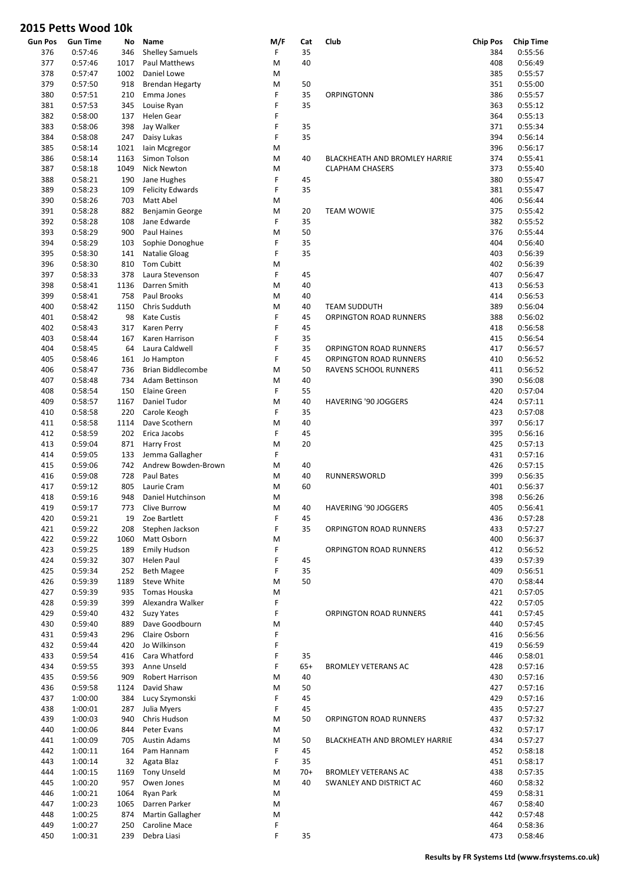| Gun Pos    | <b>Gun Time</b>    | No           | Name                        | M/F    | Cat         | Club                          | <b>Chip Pos</b> | <b>Chip Time</b>   |
|------------|--------------------|--------------|-----------------------------|--------|-------------|-------------------------------|-----------------|--------------------|
| 376        | 0:57:46            | 346          | <b>Shelley Samuels</b>      | F      | 35          |                               | 384             | 0:55:56            |
| 377        | 0:57:46            | 1017         | Paul Matthews               | M      | 40          |                               | 408             | 0:56:49            |
| 378        | 0:57:47            | 1002         | Daniel Lowe                 | M      |             |                               | 385             | 0:55:57            |
| 379        | 0:57:50            | 918          | <b>Brendan Hegarty</b>      | M      | 50          |                               | 351             | 0:55:00            |
| 380        | 0:57:51            | 210          | Emma Jones                  | F      | 35          | ORPINGTONN                    | 386             | 0:55:57            |
| 381        | 0:57:53            | 345          | Louise Ryan                 | F<br>F | 35          |                               | 363             | 0:55:12            |
| 382<br>383 | 0:58:00            | 137<br>398   | Helen Gear                  | F      | 35          |                               | 364             | 0:55:13            |
| 384        | 0:58:06<br>0:58:08 | 247          | Jay Walker                  | F      | 35          |                               | 371<br>394      | 0:55:34<br>0:56:14 |
|            | 0:58:14            |              | Daisy Lukas                 |        |             |                               |                 |                    |
| 385        | 0:58:14            | 1021<br>1163 | lain Mcgregor               | M<br>M |             | BLACKHEATH AND BROMLEY HARRIE | 396<br>374      | 0:56:17<br>0:55:41 |
| 386<br>387 | 0:58:18            | 1049         | Simon Tolson<br>Nick Newton | M      | 40          | <b>CLAPHAM CHASERS</b>        | 373             | 0:55:40            |
| 388        | 0:58:21            | 190          | Jane Hughes                 | F      | 45          |                               | 380             | 0:55:47            |
| 389        | 0:58:23            | 109          | <b>Felicity Edwards</b>     | F      | 35          |                               | 381             | 0:55:47            |
| 390        | 0:58:26            | 703          | Matt Abel                   | M      |             |                               | 406             | 0:56:44            |
| 391        | 0:58:28            | 882          | Benjamin George             | M      | 20          | <b>TEAM WOWIE</b>             | 375             | 0:55:42            |
| 392        | 0:58:28            | 108          | Jane Edwarde                | F      | 35          |                               | 382             | 0:55:52            |
| 393        | 0:58:29            | 900          | Paul Haines                 | M      | 50          |                               | 376             | 0:55:44            |
| 394        | 0:58:29            | 103          | Sophie Donoghue             | F      | 35          |                               | 404             | 0:56:40            |
| 395        | 0:58:30            | 141          | Natalie Gloag               | F      | 35          |                               | 403             | 0:56:39            |
| 396        | 0:58:30            | 810          | <b>Tom Cubitt</b>           | M      |             |                               | 402             | 0:56:39            |
| 397        | 0:58:33            | 378          | Laura Stevenson             | F      | 45          |                               | 407             | 0:56:47            |
| 398        | 0:58:41            | 1136         | Darren Smith                | M      | 40          |                               | 413             | 0:56:53            |
| 399        | 0:58:41            | 758          | Paul Brooks                 | M      | 40          |                               | 414             | 0:56:53            |
| 400        | 0:58:42            | 1150         | Chris Sudduth               | M      | 40          | <b>TEAM SUDDUTH</b>           | 389             | 0:56:04            |
| 401        | 0:58:42            | 98           | <b>Kate Custis</b>          | F      | 45          | ORPINGTON ROAD RUNNERS        | 388             | 0:56:02            |
| 402        | 0:58:43            | 317          | Karen Perry                 | F      | 45          |                               | 418             | 0:56:58            |
| 403        | 0:58:44            | 167          | Karen Harrison              | F      | 35          |                               | 415             | 0:56:54            |
| 404        | 0:58:45            | 64           | Laura Caldwell              | F      | 35          | ORPINGTON ROAD RUNNERS        | 417             | 0:56:57            |
| 405        | 0:58:46            | 161          | Jo Hampton                  | F      | 45          | ORPINGTON ROAD RUNNERS        | 410             | 0:56:52            |
| 406        | 0:58:47            | 736          | Brian Biddlecombe           | M      | 50          | RAVENS SCHOOL RUNNERS         | 411             | 0:56:52            |
| 407        | 0:58:48            | 734          | Adam Bettinson              | M      | 40          |                               | 390             | 0:56:08            |
| 408        | 0:58:54            | 150          | Elaine Green                | F      | 55          |                               | 420             | 0:57:04            |
| 409        | 0:58:57            | 1167         | Daniel Tudor                | M      | 40          | <b>HAVERING '90 JOGGERS</b>   | 424             | 0:57:11            |
| 410        | 0:58:58            | 220          | Carole Keogh                | F      | 35          |                               | 423             | 0:57:08            |
| 411        | 0:58:58            | 1114         | Dave Scothern               | M      | 40          |                               | 397             | 0:56:17            |
| 412        | 0:58:59            | 202          | Erica Jacobs                | F      | 45          |                               | 395             | 0:56:16            |
| 413        | 0:59:04            | 871          | Harry Frost                 | M      | 20          |                               | 425             | 0:57:13            |
| 414        | 0:59:05            | 133          | Jemma Gallagher             | F      |             |                               | 431             | 0:57:16            |
| 415        | 0:59:06            | 742          | Andrew Bowden-Brown         | M      | 40          |                               | 426             | 0:57:15            |
| 416        | 0:59:08            | 728          | Paul Bates                  | M      | 40          | RUNNERSWORLD                  | 399             | 0:56:35            |
| 417        | 0:59:12            | 805          | Laurie Cram                 | M      | 60          |                               | 401             | 0:56:37            |
| 418        | 0:59:16            | 948          | Daniel Hutchinson           | M      |             |                               | 398             | 0:56:26            |
| 419        | 0:59:17            | 773          | Clive Burrow                | M      | 40          | HAVERING '90 JOGGERS          | 405             | 0:56:41            |
| 420        | 0:59:21            | 19           | Zoe Bartlett                | F      | 45          |                               | 436             | 0:57:28            |
| 421        | 0:59:22            | 208          | Stephen Jackson             | F      | 35          | ORPINGTON ROAD RUNNERS        | 433             | 0:57:27            |
| 422        | 0:59:22            | 1060         | Matt Osborn                 | M      |             |                               | 400             | 0:56:37            |
| 423        | 0:59:25            | 189          | <b>Emily Hudson</b>         | F      |             | ORPINGTON ROAD RUNNERS        | 412             | 0:56:52            |
| 424        | 0:59:32            | 307          | Helen Paul                  | F      | 45          |                               | 439             | 0:57:39            |
| 425        | 0:59:34            | 252          | <b>Beth Magee</b>           | F      | 35          |                               | 409             | 0:56:51            |
| 426        | 0:59:39            | 1189         | Steve White                 | M      | 50          |                               | 470             | 0:58:44            |
| 427        | 0:59:39            | 935          | Tomas Houska                | M      |             |                               | 421             | 0:57:05            |
| 428        | 0:59:39            | 399          | Alexandra Walker            | F      |             |                               | 422             | 0:57:05            |
| 429        | 0:59:40            | 432          | <b>Suzy Yates</b>           | F      |             | <b>ORPINGTON ROAD RUNNERS</b> | 441             | 0:57:45            |
| 430        | 0:59:40            | 889          | Dave Goodbourn              | M      |             |                               | 440             | 0:57:45            |
| 431        | 0:59:43            | 296          | Claire Osborn               | F      |             |                               | 416             | 0:56:56            |
| 432        | 0:59:44            | 420          | Jo Wilkinson                | F      |             |                               | 419             | 0:56:59            |
| 433        | 0:59:54            | 416          | Cara Whatford               | F      | 35          |                               | 446             | 0:58:01            |
| 434        | 0:59:55            | 393          | Anne Unseld                 | F      | $65+$       | <b>BROMLEY VETERANS AC</b>    | 428             | 0:57:16            |
| 435        | 0:59:56            | 909          | Robert Harrison             | M      | 40          |                               | 430             | 0:57:16            |
| 436        | 0:59:58            | 1124         | David Shaw                  | M      | 50          |                               | 427             | 0:57:16            |
| 437        | 1:00:00            | 384          | Lucy Szymonski              | F      | 45          |                               | 429             | 0:57:16            |
| 438        | 1:00:01            | 287          | Julia Myers                 | F      | 45          |                               | 435             | 0:57:27            |
| 439        | 1:00:03            | 940          | Chris Hudson                | M      | 50          | ORPINGTON ROAD RUNNERS        | 437             | 0:57:32            |
| 440        | 1:00:06            | 844          | Peter Evans                 | M      |             |                               | 432             | 0:57:17            |
| 441        | 1:00:09            | 705          | <b>Austin Adams</b>         | M      | 50          | BLACKHEATH AND BROMLEY HARRIE | 434             | 0:57:27            |
| 442        | 1:00:11            | 164          | Pam Hannam                  | F      | 45          |                               | 452             | 0:58:18            |
| 443        | 1:00:14            | 32           | Agata Blaz                  | F      | 35          |                               | 451             | 0:58:17            |
| 444        | 1:00:15            | 1169         | <b>Tony Unseld</b>          | M      | $70+$<br>40 | <b>BROMLEY VETERANS AC</b>    | 438             | 0:57:35            |
| 445<br>446 | 1:00:20<br>1:00:21 | 957<br>1064  | Owen Jones                  | M<br>M |             | SWANLEY AND DISTRICT AC       | 460<br>459      | 0:58:32<br>0:58:31 |
| 447        | 1:00:23            | 1065         | Ryan Park<br>Darren Parker  | M      |             |                               | 467             | 0:58:40            |
| 448        | 1:00:25            | 874          | Martin Gallagher            | M      |             |                               | 442             | 0:57:48            |
| 449        | 1:00:27            | 250          | Caroline Mace               | F      |             |                               | 464             | 0:58:36            |
| 450        | 1:00:31            | 239          | Debra Liasi                 | F      | 35          |                               | 473             | 0:58:46            |
|            |                    |              |                             |        |             |                               |                 |                    |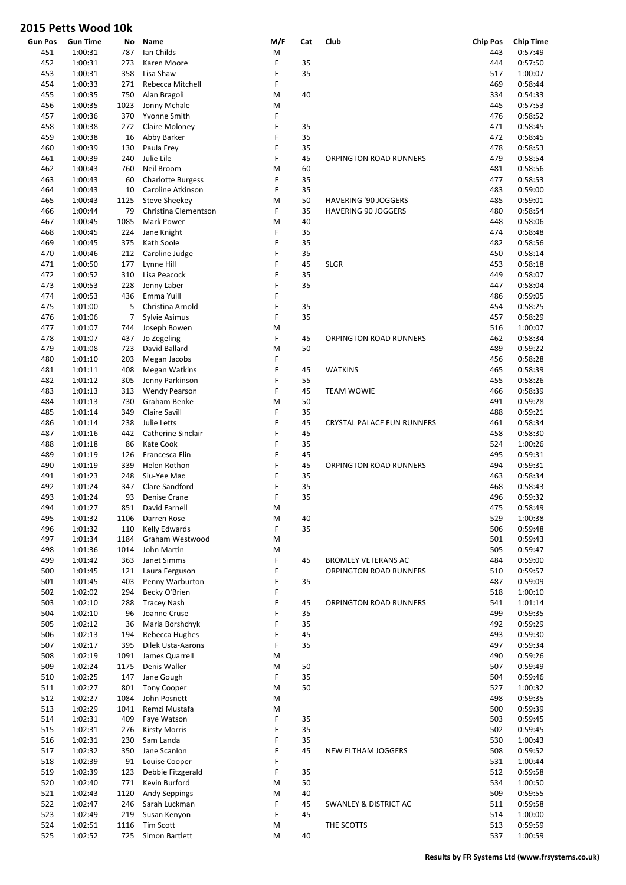| <b>Gun Pos</b> | <b>Gun Time</b> | No   | Name                     | M/F | Cat | Club                             | <b>Chip Pos</b> | <b>Chip Time</b> |
|----------------|-----------------|------|--------------------------|-----|-----|----------------------------------|-----------------|------------------|
| 451            | 1:00:31         | 787  | Ian Childs               | M   |     |                                  | 443             | 0:57:49          |
| 452            | 1:00:31         | 273  | Karen Moore              | F   | 35  |                                  | 444             | 0:57:50          |
| 453            | 1:00:31         | 358  | Lisa Shaw                | F   | 35  |                                  | 517             | 1:00:07          |
| 454            | 1:00:33         | 271  | Rebecca Mitchell         | F   |     |                                  | 469             | 0:58:44          |
| 455            | 1:00:35         | 750  | Alan Bragoli             | M   | 40  |                                  | 334             | 0:54:33          |
| 456            | 1:00:35         | 1023 | Jonny Mchale             | M   |     |                                  | 445             | 0:57:53          |
| 457            | 1:00:36         | 370  | Yvonne Smith             | F   |     |                                  | 476             | 0:58:52          |
| 458            | 1:00:38         | 272  | Claire Moloney           | F   | 35  |                                  | 471             | 0:58:45          |
| 459            | 1:00:38         | 16   | Abby Barker              | F   | 35  |                                  | 472             | 0:58:45          |
| 460            | 1:00:39         | 130  | Paula Frey               | F   | 35  |                                  | 478             | 0:58:53          |
| 461            | 1:00:39         | 240  | Julie Lile               | F   | 45  | ORPINGTON ROAD RUNNERS           | 479             | 0:58:54          |
| 462            | 1:00:43         | 760  | Neil Broom               | M   | 60  |                                  | 481             | 0:58:56          |
|                |                 |      |                          | F   | 35  |                                  |                 | 0:58:53          |
| 463            | 1:00:43         | 60   | <b>Charlotte Burgess</b> |     |     |                                  | 477             |                  |
| 464            | 1:00:43         | 10   | Caroline Atkinson        | F   | 35  |                                  | 483             | 0:59:00          |
| 465            | 1:00:43         | 1125 | <b>Steve Sheekey</b>     | M   | 50  | <b>HAVERING '90 JOGGERS</b>      | 485             | 0:59:01          |
| 466            | 1:00:44         | 79   | Christina Clementson     | F   | 35  | <b>HAVERING 90 JOGGERS</b>       | 480             | 0:58:54          |
| 467            | 1:00:45         | 1085 | Mark Power               | M   | 40  |                                  | 448             | 0:58:06          |
| 468            | 1:00:45         | 224  | Jane Knight              | F   | 35  |                                  | 474             | 0:58:48          |
| 469            | 1:00:45         | 375  | Kath Soole               | F   | 35  |                                  | 482             | 0:58:56          |
| 470            | 1:00:46         | 212  | Caroline Judge           | F   | 35  |                                  | 450             | 0:58:14          |
| 471            | 1:00:50         | 177  | Lynne Hill               | F   | 45  | <b>SLGR</b>                      | 453             | 0:58:18          |
| 472            | 1:00:52         | 310  | Lisa Peacock             | F   | 35  |                                  | 449             | 0:58:07          |
| 473            | 1:00:53         | 228  | Jenny Laber              | F   | 35  |                                  | 447             | 0:58:04          |
| 474            | 1:00:53         | 436  | Emma Yuill               | F   |     |                                  | 486             | 0:59:05          |
| 475            | 1:01:00         | 5    | Christina Arnold         | F   | 35  |                                  | 454             | 0:58:25          |
| 476            | 1:01:06         | 7    | Sylvie Asimus            | F   | 35  |                                  | 457             | 0:58:29          |
| 477            | 1:01:07         | 744  | Joseph Bowen             | M   |     |                                  | 516             | 1:00:07          |
| 478            | 1:01:07         | 437  | Jo Zegeling              | F   | 45  | ORPINGTON ROAD RUNNERS           | 462             | 0:58:34          |
| 479            | 1:01:08         | 723  | David Ballard            | M   | 50  |                                  | 489             | 0:59:22          |
| 480            | 1:01:10         | 203  | Megan Jacobs             | F   |     |                                  | 456             | 0:58:28          |
|                |                 |      |                          |     |     |                                  |                 |                  |
| 481            | 1:01:11         | 408  | Megan Watkins            | F   | 45  | <b>WATKINS</b>                   | 465             | 0:58:39          |
| 482            | 1:01:12         | 305  | Jenny Parkinson          | F   | 55  |                                  | 455             | 0:58:26          |
| 483            | 1:01:13         | 313  | Wendy Pearson            | F   | 45  | <b>TEAM WOWIE</b>                | 466             | 0:58:39          |
| 484            | 1:01:13         | 730  | Graham Benke             | M   | 50  |                                  | 491             | 0:59:28          |
| 485            | 1:01:14         | 349  | <b>Claire Savill</b>     | F   | 35  |                                  | 488             | 0:59:21          |
| 486            | 1:01:14         | 238  | Julie Letts              | F   | 45  | CRYSTAL PALACE FUN RUNNERS       | 461             | 0:58:34          |
| 487            | 1:01:16         | 442  | Catherine Sinclair       | F   | 45  |                                  | 458             | 0:58:30          |
| 488            | 1:01:18         | 86   | Kate Cook                | F   | 35  |                                  | 524             | 1:00:26          |
| 489            | 1:01:19         | 126  | Francesca Flin           | F   | 45  |                                  | 495             | 0:59:31          |
| 490            | 1:01:19         | 339  | Helen Rothon             | F   | 45  | ORPINGTON ROAD RUNNERS           | 494             | 0:59:31          |
| 491            | 1:01:23         | 248  | Siu-Yee Mac              | F   | 35  |                                  | 463             | 0:58:34          |
| 492            | 1:01:24         | 347  | Clare Sandford           | F   | 35  |                                  | 468             | 0:58:43          |
| 493            | 1:01:24         | 93   | Denise Crane             | F   | 35  |                                  | 496             | 0:59:32          |
| 494            | 1:01:27         | 851  | David Farnell            | M   |     |                                  | 475             | 0:58:49          |
| 495            | 1:01:32         | 1106 | Darren Rose              | M   | 40  |                                  | 529             | 1:00:38          |
| 496            | 1:01:32         | 110  | Kelly Edwards            | F   | 35  |                                  | 506             | 0:59:48          |
| 497            | 1:01:34         | 1184 | Graham Westwood          | M   |     |                                  | 501             | 0:59:43          |
| 498            | 1:01:36         | 1014 | John Martin              | M   |     |                                  | 505             | 0:59:47          |
| 499            | 1:01:42         | 363  | Janet Simms              | F   | 45  | <b>BROMLEY VETERANS AC</b>       | 484             | 0:59:00          |
| 500            | 1:01:45         | 121  | Laura Ferguson           | F   |     | ORPINGTON ROAD RUNNERS           | 510             | 0:59:57          |
| 501            | 1:01:45         | 403  | Penny Warburton          | F   | 35  |                                  | 487             | 0:59:09          |
| 502            | 1:02:02         | 294  | Becky O'Brien            | F   |     |                                  | 518             | 1:00:10          |
| 503            | 1:02:10         | 288  | <b>Tracey Nash</b>       | F   | 45  | ORPINGTON ROAD RUNNERS           | 541             | 1:01:14          |
| 504            | 1:02:10         | 96   | Joanne Cruse             | F   | 35  |                                  | 499             | 0:59:35          |
| 505            | 1:02:12         | 36   | Maria Borshchyk          | F   | 35  |                                  | 492             | 0:59:29          |
|                |                 |      | Rebecca Hughes           | F   |     |                                  |                 |                  |
| 506            | 1:02:13         | 194  |                          |     | 45  |                                  | 493             | 0:59:30          |
| 507            | 1:02:17         | 395  | Dilek Usta-Aarons        | F   | 35  |                                  | 497             | 0:59:34          |
| 508            | 1:02:19         | 1091 | James Quarrell           | M   |     |                                  | 490             | 0:59:26          |
| 509            | 1:02:24         | 1175 | Denis Waller             | M   | 50  |                                  | 507             | 0:59:49          |
| 510            | 1:02:25         | 147  | Jane Gough               | F   | 35  |                                  | 504             | 0:59:46          |
| 511            | 1:02:27         | 801  | <b>Tony Cooper</b>       | M   | 50  |                                  | 527             | 1:00:32          |
| 512            | 1:02:27         | 1084 | John Posnett             | M   |     |                                  | 498             | 0:59:35          |
| 513            | 1:02:29         | 1041 | Remzi Mustafa            | M   |     |                                  | 500             | 0:59:39          |
| 514            | 1:02:31         | 409  | Faye Watson              | F   | 35  |                                  | 503             | 0:59:45          |
| 515            | 1:02:31         | 276  | <b>Kirsty Morris</b>     | F   | 35  |                                  | 502             | 0:59:45          |
| 516            | 1:02:31         | 230  | Sam Landa                | F   | 35  |                                  | 530             | 1:00:43          |
| 517            | 1:02:32         | 350  | Jane Scanlon             | F   | 45  | NEW ELTHAM JOGGERS               | 508             | 0:59:52          |
| 518            | 1:02:39         | 91   | Louise Cooper            | F   |     |                                  | 531             | 1:00:44          |
| 519            | 1:02:39         | 123  | Debbie Fitzgerald        | F   | 35  |                                  | 512             | 0:59:58          |
| 520            | 1:02:40         | 771  | Kevin Burford            | M   | 50  |                                  | 534             | 1:00:50          |
| 521            | 1:02:43         | 1120 | Andy Seppings            | M   | 40  |                                  | 509             | 0:59:55          |
| 522            | 1:02:47         | 246  | Sarah Luckman            | F   | 45  | <b>SWANLEY &amp; DISTRICT AC</b> | 511             | 0:59:58          |
| 523            | 1:02:49         | 219  | Susan Kenyon             | F   | 45  |                                  | 514             | 1:00:00          |
| 524            | 1:02:51         | 1116 | <b>Tim Scott</b>         | M   |     | THE SCOTTS                       | 513             | 0:59:59          |
| 525            | 1:02:52         | 725  | Simon Bartlett           | M   | 40  |                                  | 537             | 1:00:59          |
|                |                 |      |                          |     |     |                                  |                 |                  |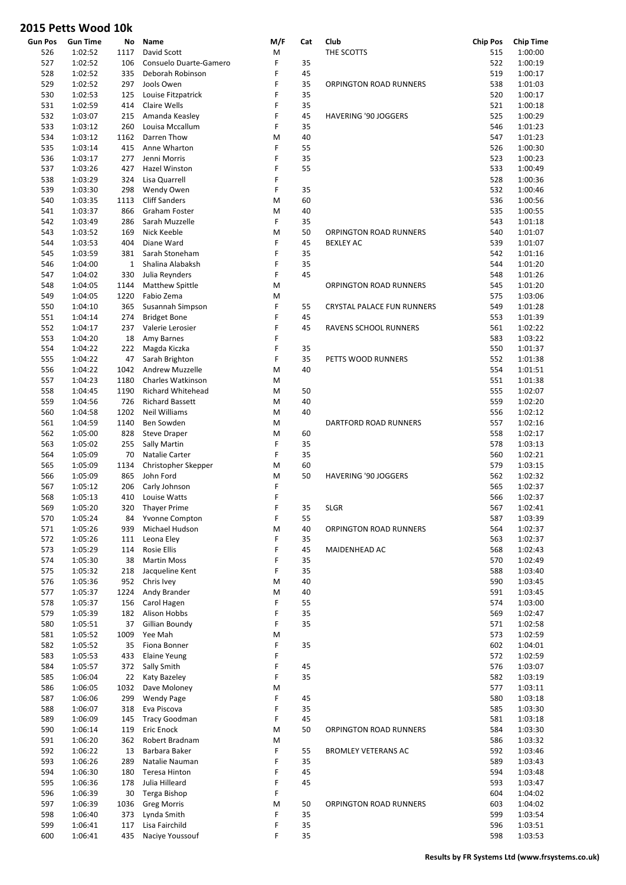| <b>Gun Pos</b> | <b>Gun Time</b> | No           | Name                     | M/F | Cat | Club                        | <b>Chip Pos</b> | <b>Chip Time</b> |
|----------------|-----------------|--------------|--------------------------|-----|-----|-----------------------------|-----------------|------------------|
| 526            | 1:02:52         | 1117         | David Scott              | M   |     | THE SCOTTS                  | 515             | 1:00:00          |
| 527            | 1:02:52         | 106          | Consuelo Duarte-Gamero   | F   | 35  |                             | 522             | 1:00:19          |
| 528            | 1:02:52         | 335          | Deborah Robinson         | F   | 45  |                             | 519             | 1:00:17          |
| 529            | 1:02:52         | 297          | Jools Owen               | F   | 35  | ORPINGTON ROAD RUNNERS      | 538             | 1:01:03          |
| 530            | 1:02:53         | 125          | Louise Fitzpatrick       | F   | 35  |                             | 520             | 1:00:17          |
| 531            | 1:02:59         | 414          | Claire Wells             | F   | 35  |                             | 521             | 1:00:18          |
| 532            | 1:03:07         | 215          | Amanda Keasley           | F   | 45  | <b>HAVERING '90 JOGGERS</b> | 525             | 1:00:29          |
| 533            |                 | 260          | Louisa Mccallum          | F   | 35  |                             | 546             |                  |
|                | 1:03:12         |              |                          |     |     |                             |                 | 1:01:23          |
| 534            | 1:03:12         | 1162         | Darren Thow              | M   | 40  |                             | 547             | 1:01:23          |
| 535            | 1:03:14         | 415          | Anne Wharton             | F   | 55  |                             | 526             | 1:00:30          |
| 536            | 1:03:17         | 277          | Jenni Morris             | F   | 35  |                             | 523             | 1:00:23          |
| 537            | 1:03:26         | 427          | Hazel Winston            | F   | 55  |                             | 533             | 1:00:49          |
| 538            | 1:03:29         | 324          | Lisa Quarrell            | F   |     |                             | 528             | 1:00:36          |
| 539            | 1:03:30         | 298          | Wendy Owen               | F   | 35  |                             | 532             | 1:00:46          |
| 540            | 1:03:35         | 1113         | <b>Cliff Sanders</b>     | M   | 60  |                             | 536             | 1:00:56          |
| 541            | 1:03:37         | 866          | Graham Foster            | M   | 40  |                             | 535             | 1:00:55          |
| 542            | 1:03:49         | 286          | Sarah Muzzelle           | F   | 35  |                             | 543             | 1:01:18          |
| 543            | 1:03:52         | 169          | Nick Keeble              | M   | 50  | ORPINGTON ROAD RUNNERS      | 540             | 1:01:07          |
|                |                 |              |                          |     |     |                             |                 |                  |
| 544            | 1:03:53         | 404          | Diane Ward               | F   | 45  | <b>BEXLEY AC</b>            | 539             | 1:01:07          |
| 545            | 1:03:59         | 381          | Sarah Stoneham           | F   | 35  |                             | 542             | 1:01:16          |
| 546            | 1:04:00         | $\mathbf{1}$ | Shalina Alabaksh         | F   | 35  |                             | 544             | 1:01:20          |
| 547            | 1:04:02         | 330          | Julia Reynders           | F   | 45  |                             | 548             | 1:01:26          |
| 548            | 1:04:05         | 1144         | Matthew Spittle          | M   |     | ORPINGTON ROAD RUNNERS      | 545             | 1:01:20          |
| 549            | 1:04:05         | 1220         | Fabio Zema               | M   |     |                             | 575             | 1:03:06          |
| 550            | 1:04:10         | 365          | Susannah Simpson         | F   | 55  | CRYSTAL PALACE FUN RUNNERS  | 549             | 1:01:28          |
| 551            | 1:04:14         | 274          | <b>Bridget Bone</b>      | F   | 45  |                             | 553             | 1:01:39          |
| 552            | 1:04:17         | 237          | Valerie Lerosier         | F   | 45  | RAVENS SCHOOL RUNNERS       | 561             | 1:02:22          |
|                |                 |              |                          |     |     |                             |                 |                  |
| 553            | 1:04:20         | 18           | Amy Barnes               | F   |     |                             | 583             | 1:03:22          |
| 554            | 1:04:22         | 222          | Magda Kiczka             | F   | 35  |                             | 550             | 1:01:37          |
| 555            | 1:04:22         | 47           | Sarah Brighton           | F   | 35  | PETTS WOOD RUNNERS          | 552             | 1:01:38          |
| 556            | 1:04:22         | 1042         | <b>Andrew Muzzelle</b>   | M   | 40  |                             | 554             | 1:01:51          |
| 557            | 1:04:23         | 1180         | Charles Watkinson        | M   |     |                             | 551             | 1:01:38          |
| 558            | 1:04:45         | 1190         | <b>Richard Whitehead</b> | M   | 50  |                             | 555             | 1:02:07          |
| 559            | 1:04:56         | 726          | <b>Richard Bassett</b>   | M   | 40  |                             | 559             | 1:02:20          |
| 560            | 1:04:58         | 1202         | Neil Williams            | M   | 40  |                             | 556             | 1:02:12          |
| 561            | 1:04:59         | 1140         | Ben Sowden               | M   |     | DARTFORD ROAD RUNNERS       | 557             | 1:02:16          |
| 562            | 1:05:00         | 828          |                          | M   | 60  |                             | 558             | 1:02:17          |
|                |                 |              | <b>Steve Draper</b>      |     |     |                             |                 |                  |
| 563            | 1:05:02         | 255          | Sally Martin             | F   | 35  |                             | 578             | 1:03:13          |
| 564            | 1:05:09         | 70           | Natalie Carter           | F   | 35  |                             | 560             | 1:02:21          |
| 565            | 1:05:09         | 1134         | Christopher Skepper      | M   | 60  |                             | 579             | 1:03:15          |
| 566            | 1:05:09         | 865          | John Ford                | M   | 50  | HAVERING '90 JOGGERS        | 562             | 1:02:32          |
| 567            | 1:05:12         | 206          | Carly Johnson            | F   |     |                             | 565             | 1:02:37          |
| 568            | 1:05:13         | 410          | Louise Watts             | F   |     |                             | 566             | 1:02:37          |
| 569            | 1:05:20         | 320          | <b>Thayer Prime</b>      | F   | 35  | <b>SLGR</b>                 | 567             | 1:02:41          |
| 570            | 1:05:24         | 84           | Yvonne Compton           | F   | 55  |                             | 587             | 1:03:39          |
| 571            | 1:05:26         | 939          | Michael Hudson           | M   | 40  | ORPINGTON ROAD RUNNERS      | 564             | 1:02:37          |
| 572            | 1:05:26         | 111          | Leona Eley               | F   | 35  |                             | 563             | 1:02:37          |
| 573            | 1:05:29         | 114          | Rosie Ellis              | F   | 45  |                             | 568             | 1:02:43          |
|                |                 |              |                          |     |     | MAIDENHEAD AC               |                 |                  |
| 574            | 1:05:30         | 38           | <b>Martin Moss</b>       | F   | 35  |                             | 570             | 1:02:49          |
| 575            | 1:05:32         | 218          | Jacqueline Kent          | F   | 35  |                             | 588             | 1:03:40          |
| 576            | 1:05:36         | 952          | Chris Ivey               | M   | 40  |                             | 590             | 1:03:45          |
| 577            | 1:05:37         | 1224         | Andy Brander             | M   | 40  |                             | 591             | 1:03:45          |
| 578            | 1:05:37         | 156          | Carol Hagen              | F   | 55  |                             | 574             | 1:03:00          |
| 579            | 1:05:39         | 182          | Alison Hobbs             | F   | 35  |                             | 569             | 1:02:47          |
| 580            | 1:05:51         | 37           | Gillian Boundy           | F   | 35  |                             | 571             | 1:02:58          |
| 581            | 1:05:52         | 1009         | Yee Mah                  | M   |     |                             | 573             | 1:02:59          |
| 582            | 1:05:52         | 35           | Fiona Bonner             | F   | 35  |                             | 602             | 1:04:01          |
| 583            | 1:05:53         | 433          | <b>Elaine Yeung</b>      | F   |     |                             | 572             | 1:02:59          |
|                |                 |              |                          |     |     |                             |                 |                  |
| 584            | 1:05:57         | 372          | Sally Smith              | F   | 45  |                             | 576             | 1:03:07          |
| 585            | 1:06:04         | 22           | Katy Bazeley             | F   | 35  |                             | 582             | 1:03:19          |
| 586            | 1:06:05         | 1032         | Dave Moloney             | M   |     |                             | 577             | 1:03:11          |
| 587            | 1:06:06         | 299          | <b>Wendy Page</b>        | F   | 45  |                             | 580             | 1:03:18          |
| 588            | 1:06:07         | 318          | Eva Piscova              | F   | 35  |                             | 585             | 1:03:30          |
| 589            | 1:06:09         | 145          | <b>Tracy Goodman</b>     | F   | 45  |                             | 581             | 1:03:18          |
| 590            | 1:06:14         | 119          | Eric Enock               | M   | 50  | ORPINGTON ROAD RUNNERS      | 584             | 1:03:30          |
| 591            | 1:06:20         | 362          | Robert Bradnam           | M   |     |                             | 586             | 1:03:32          |
| 592            | 1:06:22         | 13           | Barbara Baker            | F   | 55  | <b>BROMLEY VETERANS AC</b>  | 592             | 1:03:46          |
| 593            | 1:06:26         | 289          | Natalie Nauman           | F   | 35  |                             | 589             | 1:03:43          |
|                |                 |              |                          | F   |     |                             |                 |                  |
| 594            | 1:06:30         | 180          | Teresa Hinton            |     | 45  |                             | 594             | 1:03:48          |
| 595            | 1:06:36         | 178          | Julia Hilleard           | F   | 45  |                             | 593             | 1:03:47          |
| 596            | 1:06:39         | 30           | Terga Bishop             | F   |     |                             | 604             | 1:04:02          |
| 597            | 1:06:39         | 1036         | <b>Greg Morris</b>       | M   | 50  | ORPINGTON ROAD RUNNERS      | 603             | 1:04:02          |
| 598            | 1:06:40         | 373          | Lynda Smith              | F   | 35  |                             | 599             | 1:03:54          |
| 599            | 1:06:41         | 117          | Lisa Fairchild           | F   | 35  |                             | 596             | 1:03:51          |
| 600            | 1:06:41         | 435          | Naciye Youssouf          | F   | 35  |                             | 598             | 1:03:53          |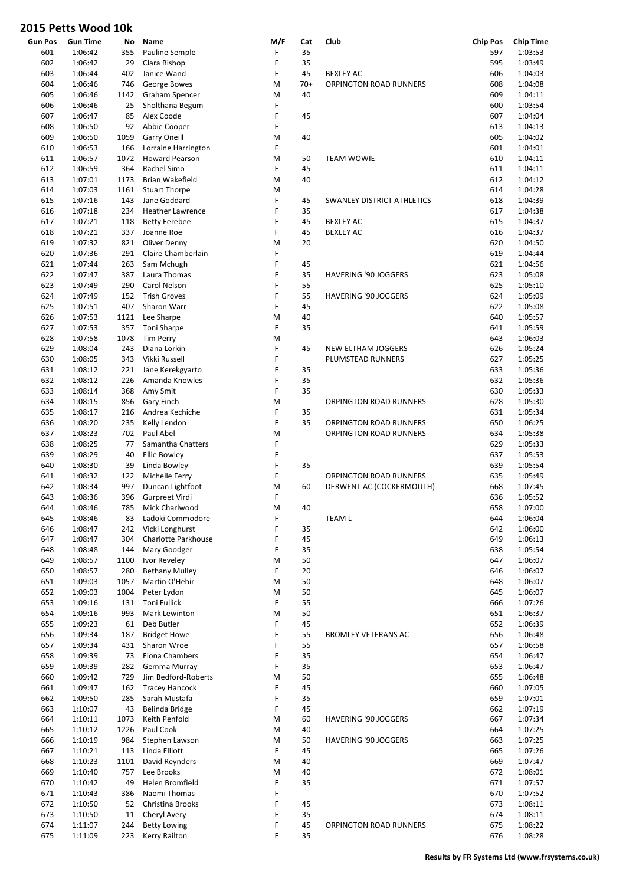| <b>Gun Pos</b> | Gun Time           | No   | Name                               | M/F | Cat   | Club                       | <b>Chip Pos</b> | <b>Chip Time</b> |
|----------------|--------------------|------|------------------------------------|-----|-------|----------------------------|-----------------|------------------|
| 601            | 1:06:42            | 355  | Pauline Semple                     | F   | 35    |                            | 597             | 1:03:53          |
| 602            | 1:06:42            | 29   | Clara Bishop                       | F   | 35    |                            | 595             | 1:03:49          |
| 603            | 1:06:44            | 402  | Janice Wand                        | F   | 45    | <b>BEXLEY AC</b>           | 606             | 1:04:03          |
| 604            | 1:06:46            | 746  | George Bowes                       | M   | $70+$ | ORPINGTON ROAD RUNNERS     | 608             | 1:04:08          |
| 605            | 1:06:46            | 1142 | <b>Graham Spencer</b>              | M   | 40    |                            | 609             | 1:04:11          |
| 606            | 1:06:46            | 25   | Sholthana Begum                    | F   |       |                            | 600             | 1:03:54          |
| 607            | 1:06:47            | 85   | Alex Coode                         | F   | 45    |                            | 607             | 1:04:04          |
| 608            | 1:06:50            | 92   | Abbie Cooper                       | F   |       |                            | 613             | 1:04:13          |
| 609            | 1:06:50            | 1059 | <b>Garry Oneill</b>                | M   | 40    |                            | 605             | 1:04:02          |
| 610            | 1:06:53            | 166  | Lorraine Harrington                | F   |       |                            | 601             | 1:04:01          |
| 611            | 1:06:57            | 1072 | <b>Howard Pearson</b>              | M   | 50    | <b>TEAM WOWIE</b>          | 610             | 1:04:11          |
|                |                    | 364  | Rachel Simo                        | F   | 45    |                            |                 | 1:04:11          |
| 612            | 1:06:59            |      |                                    |     |       |                            | 611             | 1:04:12          |
| 613            | 1:07:01            | 1173 | Brian Wakefield                    | M   | 40    |                            | 612             |                  |
| 614            | 1:07:03            | 1161 | <b>Stuart Thorpe</b>               | M   |       |                            | 614             | 1:04:28          |
| 615            | 1:07:16            | 143  | Jane Goddard                       | F   | 45    | SWANLEY DISTRICT ATHLETICS | 618             | 1:04:39          |
| 616            | 1:07:18            | 234  | <b>Heather Lawrence</b>            | F   | 35    |                            | 617             | 1:04:38          |
| 617            | 1:07:21            | 118  | <b>Betty Ferebee</b>               | F   | 45    | <b>BEXLEY AC</b>           | 615             | 1:04:37          |
| 618            | 1:07:21            | 337  | Joanne Roe                         | F   | 45    | <b>BEXLEY AC</b>           | 616             | 1:04:37          |
| 619            | 1:07:32            | 821  | Oliver Denny                       | M   | 20    |                            | 620             | 1:04:50          |
| 620            | 1:07:36            | 291  | Claire Chamberlain                 | F   |       |                            | 619             | 1:04:44          |
| 621            | 1:07:44            | 263  | Sam Mchugh                         | F   | 45    |                            | 621             | 1:04:56          |
| 622            | 1:07:47            | 387  | Laura Thomas                       | F   | 35    | HAVERING '90 JOGGERS       | 623             | 1:05:08          |
| 623            | 1:07:49            | 290  | Carol Nelson                       | F   | 55    |                            | 625             | 1:05:10          |
| 624            | 1:07:49            | 152  | <b>Trish Groves</b>                | F   | 55    | HAVERING '90 JOGGERS       | 624             | 1:05:09          |
| 625            | 1:07:51            | 407  | Sharon Warr                        | F   | 45    |                            | 622             | 1:05:08          |
| 626            | 1:07:53            | 1121 | Lee Sharpe                         | M   | 40    |                            | 640             | 1:05:57          |
| 627            | 1:07:53            | 357  | Toni Sharpe                        | F   | 35    |                            | 641             | 1:05:59          |
| 628            | 1:07:58            | 1078 | <b>Tim Perry</b>                   | M   |       |                            | 643             | 1:06:03          |
| 629            | 1:08:04            | 243  | Diana Lorkin                       | F   | 45    |                            | 626             | 1:05:24          |
|                |                    |      |                                    |     |       | NEW ELTHAM JOGGERS         |                 |                  |
| 630            | 1:08:05            | 343  | Vikki Russell                      | F   |       | PLUMSTEAD RUNNERS          | 627             | 1:05:25          |
| 631            | 1:08:12            | 221  | Jane Kerekgyarto                   | F   | 35    |                            | 633             | 1:05:36          |
| 632            | 1:08:12            | 226  | Amanda Knowles                     | F   | 35    |                            | 632             | 1:05:36          |
| 633            | 1:08:14            | 368  | Amy Smit                           | F   | 35    |                            | 630             | 1:05:33          |
| 634            | 1:08:15            | 856  | Gary Finch                         | M   |       | ORPINGTON ROAD RUNNERS     | 628             | 1:05:30          |
| 635            | 1:08:17            | 216  | Andrea Kechiche                    | F   | 35    |                            | 631             | 1:05:34          |
| 636            | 1:08:20            | 235  | Kelly Lendon                       | F   | 35    | ORPINGTON ROAD RUNNERS     | 650             | 1:06:25          |
| 637            | 1:08:23            | 702  | Paul Abel                          | M   |       | ORPINGTON ROAD RUNNERS     | 634             | 1:05:38          |
| 638            | 1:08:25            | 77   | Samantha Chatters                  | F   |       |                            | 629             | 1:05:33          |
| 639            | 1:08:29            | 40   | Ellie Bowley                       | F   |       |                            | 637             | 1:05:53          |
| 640            | 1:08:30            | 39   | Linda Bowley                       | F   | 35    |                            | 639             | 1:05:54          |
| 641            | 1:08:32            | 122  | Michelle Ferry                     | F   |       | ORPINGTON ROAD RUNNERS     | 635             | 1:05:49          |
| 642            | 1:08:34            | 997  | Duncan Lightfoot                   | M   | 60    | DERWENT AC (COCKERMOUTH)   | 668             | 1:07:45          |
| 643            | 1:08:36            | 396  | Gurpreet Virdi                     | F   |       |                            | 636             | 1:05:52          |
| 644            | 1:08:46            | 785  | Mick Charlwood                     | M   | 40    |                            | 658             | 1:07:00          |
| 645            | 1:08:46            | 83   | Ladoki Commodore                   | F   |       | <b>TEAM L</b>              | 644             | 1:06:04          |
| 646            | 1:08:47            | 242  | Vicki Longhurst                    | F   | 35    |                            | 642             | 1:06:00          |
| 647            | 1:08:47            | 304  | Charlotte Parkhouse                | F   | 45    |                            | 649             | 1:06:13          |
| 648            | 1:08:48            | 144  | Mary Goodger                       | F   | 35    |                            | 638             | 1:05:54          |
| 649            | 1:08:57            | 1100 | Ivor Reveley                       | M   | 50    |                            | 647             | 1:06:07          |
| 650            | 1:08:57            | 280  | <b>Bethany Mulley</b>              | F   | 20    |                            | 646             | 1:06:07          |
| 651            | 1:09:03            | 1057 | Martin O'Hehir                     | M   | 50    |                            | 648             | 1:06:07          |
|                |                    |      |                                    | M   | 50    |                            |                 | 1:06:07          |
| 652            | 1:09:03            | 1004 | Peter Lydon<br><b>Toni Fullick</b> | F   | 55    |                            | 645             |                  |
| 653            | 1:09:16            | 131  |                                    |     |       |                            | 666             | 1:07:26          |
| 654            | 1:09:16            | 993  | Mark Lewinton                      | M   | 50    |                            | 651             | 1:06:37          |
| 655            | 1:09:23            | 61   | Deb Butler                         | F   | 45    |                            | 652             | 1:06:39          |
| 656            | 1:09:34            | 187  | <b>Bridget Howe</b>                | F   | 55    | <b>BROMLEY VETERANS AC</b> | 656             | 1:06:48          |
| 657            | 1:09:34            | 431  | Sharon Wroe                        | F   | 55    |                            | 657             | 1:06:58          |
| 658            | 1:09:39            | 73   | Fiona Chambers                     | F   | 35    |                            | 654             | 1:06:47          |
| 659            | 1:09:39            | 282  | Gemma Murray                       | F   | 35    |                            | 653             | 1:06:47          |
| 660            | 1:09:42            | 729  | Jim Bedford-Roberts                | M   | 50    |                            | 655             | 1:06:48          |
| 661            | 1:09:47            | 162  | <b>Tracey Hancock</b>              | F   | 45    |                            | 660             | 1:07:05          |
| 662            | 1:09:50            | 285  | Sarah Mustafa                      | F   | 35    |                            | 659             | 1:07:01          |
| 663            | 1:10:07            | 43   | Belinda Bridge                     | F   | 45    |                            | 662             | 1:07:19          |
| 664            | 1:10:11            | 1073 | Keith Penfold                      | M   | 60    | HAVERING '90 JOGGERS       | 667             | 1:07:34          |
| 665            | 1:10:12            | 1226 | Paul Cook                          | M   | 40    |                            | 664             | 1:07:25          |
| 666            | 1:10:19            | 984  | Stephen Lawson                     | M   | 50    | HAVERING '90 JOGGERS       | 663             | 1:07:25          |
| 667            | 1:10:21            | 113  | Linda Elliott                      | F   | 45    |                            | 665             | 1:07:26          |
| 668            | 1:10:23            | 1101 | David Reynders                     | M   | 40    |                            | 669             | 1:07:47          |
| 669            | 1:10:40            | 757  | Lee Brooks                         | M   | 40    |                            | 672             | 1:08:01          |
| 670            | 1:10:42            | 49   | Helen Bromfield                    | F   | 35    |                            | 671             | 1:07:57          |
| 671            | 1:10:43            | 386  | Naomi Thomas                       | F   |       |                            | 670             | 1:07:52          |
| 672            | 1:10:50            | 52   | Christina Brooks                   | F   | 45    |                            | 673             | 1:08:11          |
| 673            | 1:10:50            | 11   | Cheryl Avery                       | F   | 35    |                            | 674             | 1:08:11          |
| 674            |                    |      | <b>Betty Lowing</b>                | F   | 45    |                            | 675             | 1:08:22          |
| 675            | 1:11:07<br>1:11:09 | 244  | Kerry Railton                      | F   | 35    | ORPINGTON ROAD RUNNERS     | 676             | 1:08:28          |
|                |                    | 223  |                                    |     |       |                            |                 |                  |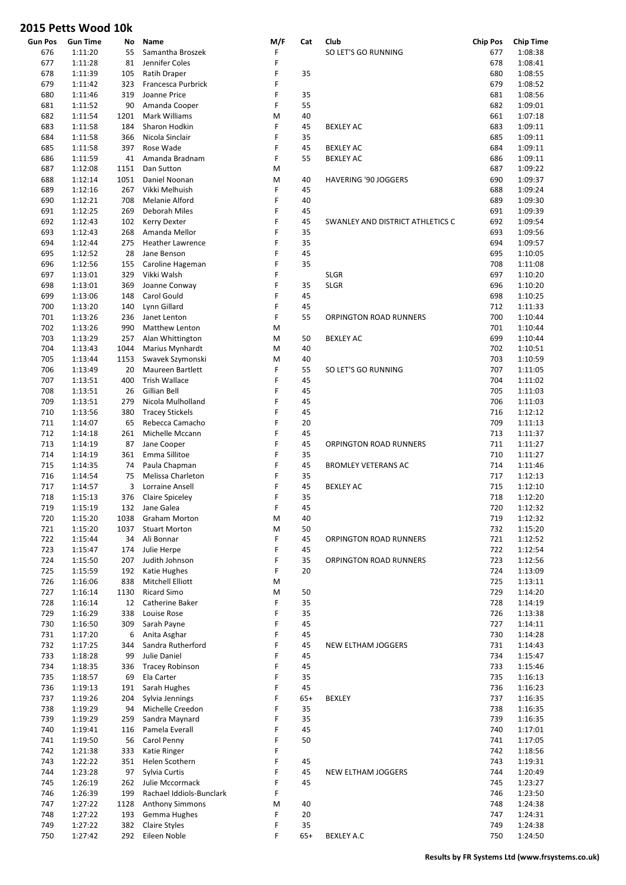| Gun Pos | <b>Gun Time</b> | No   | Name                     | M/F | Cat   | Club                             | <b>Chip Pos</b> | <b>Chip Time</b> |
|---------|-----------------|------|--------------------------|-----|-------|----------------------------------|-----------------|------------------|
| 676     | 1:11:20         | 55   | Samantha Broszek         | F   |       | SO LET'S GO RUNNING              | 677             | 1:08:38          |
| 677     | 1:11:28         | 81   | Jennifer Coles           | F   |       |                                  | 678             | 1:08:41          |
| 678     | 1:11:39         | 105  | Ratih Draper             | F   | 35    |                                  | 680             | 1:08:55          |
| 679     | 1:11:42         | 323  | Francesca Purbrick       | F   |       |                                  | 679             | 1:08:52          |
| 680     | 1:11:46         | 319  | Joanne Price             | F   | 35    |                                  | 681             | 1:08:56          |
|         |                 |      |                          | F   | 55    |                                  |                 |                  |
| 681     | 1:11:52         | 90   | Amanda Cooper            |     |       |                                  | 682             | 1:09:01          |
| 682     | 1:11:54         | 1201 | Mark Williams            | M   | 40    |                                  | 661             | 1:07:18          |
| 683     | 1:11:58         | 184  | Sharon Hodkin            | F   | 45    | <b>BEXLEY AC</b>                 | 683             | 1:09:11          |
| 684     | 1:11:58         | 366  | Nicola Sinclair          | F   | 35    |                                  | 685             | 1:09:11          |
| 685     | 1:11:58         | 397  | Rose Wade                | F   | 45    | <b>BEXLEY AC</b>                 | 684             | 1:09:11          |
| 686     | 1:11:59         | 41   | Amanda Bradnam           | F   | 55    | <b>BEXLEY AC</b>                 | 686             | 1:09:11          |
| 687     | 1:12:08         | 1151 | Dan Sutton               | M   |       |                                  | 687             | 1:09:22          |
| 688     | 1:12:14         | 1051 | Daniel Noonan            | M   | 40    | <b>HAVERING '90 JOGGERS</b>      | 690             | 1:09:37          |
|         |                 |      |                          |     |       |                                  |                 |                  |
| 689     | 1:12:16         | 267  | Vikki Melhuish           | F   | 45    |                                  | 688             | 1:09:24          |
| 690     | 1:12:21         | 708  | Melanie Alford           | F   | 40    |                                  | 689             | 1:09:30          |
| 691     | 1:12:25         | 269  | Deborah Miles            | F   | 45    |                                  | 691             | 1:09:39          |
| 692     | 1:12:43         | 102  | <b>Kerry Dexter</b>      | F   | 45    | SWANLEY AND DISTRICT ATHLETICS C | 692             | 1:09:54          |
| 693     | 1:12:43         | 268  | Amanda Mellor            | F   | 35    |                                  | 693             | 1:09:56          |
| 694     | 1:12:44         | 275  | <b>Heather Lawrence</b>  | F   | 35    |                                  | 694             | 1:09:57          |
| 695     | 1:12:52         | 28   | Jane Benson              | F   | 45    |                                  | 695             | 1:10:05          |
|         |                 |      |                          | F   |       |                                  |                 |                  |
| 696     | 1:12:56         | 155  | Caroline Hageman         |     | 35    |                                  | 708             | 1:11:08          |
| 697     | 1:13:01         | 329  | Vikki Walsh              | F   |       | <b>SLGR</b>                      | 697             | 1:10:20          |
| 698     | 1:13:01         | 369  | Joanne Conway            | F   | 35    | <b>SLGR</b>                      | 696             | 1:10:20          |
| 699     | 1:13:06         | 148  | Carol Gould              | F   | 45    |                                  | 698             | 1:10:25          |
| 700     | 1:13:20         | 140  | Lynn Gillard             | F   | 45    |                                  | 712             | 1:11:33          |
| 701     | 1:13:26         | 236  | Janet Lenton             | F   | 55    | ORPINGTON ROAD RUNNERS           | 700             | 1:10:44          |
| 702     | 1:13:26         | 990  | Matthew Lenton           | M   |       |                                  | 701             | 1:10:44          |
|         |                 |      |                          |     |       |                                  |                 |                  |
| 703     | 1:13:29         | 257  | Alan Whittington         | M   | 50    | <b>BEXLEY AC</b>                 | 699             | 1:10:44          |
| 704     | 1:13:43         | 1044 | Marius Mynhardt          | M   | 40    |                                  | 702             | 1:10:51          |
| 705     | 1:13:44         | 1153 | Swavek Szymonski         | M   | 40    |                                  | 703             | 1:10:59          |
| 706     | 1:13:49         | 20   | <b>Maureen Bartlett</b>  | F   | 55    | SO LET'S GO RUNNING              | 707             | 1:11:05          |
| 707     | 1:13:51         | 400  | Trish Wallace            | F   | 45    |                                  | 704             | 1:11:02          |
| 708     | 1:13:51         | 26   | Gillian Bell             | F   | 45    |                                  | 705             | 1:11:03          |
| 709     | 1:13:51         | 279  | Nicola Mulholland        | F   | 45    |                                  | 706             | 1:11:03          |
| 710     | 1:13:56         | 380  | <b>Tracey Stickels</b>   | F   | 45    |                                  | 716             | 1:12:12          |
| 711     | 1:14:07         | 65   | Rebecca Camacho          | F   | 20    |                                  | 709             | 1:11:13          |
|         |                 |      |                          |     |       |                                  |                 |                  |
| 712     | 1:14:18         | 261  | Michelle Mccann          | F   | 45    |                                  | 713             | 1:11:37          |
| 713     | 1:14:19         | 87   | Jane Cooper              | F   | 45    | ORPINGTON ROAD RUNNERS           | 711             | 1:11:27          |
| 714     | 1:14:19         | 361  | Emma Sillitoe            | F   | 35    |                                  | 710             | 1:11:27          |
| 715     | 1:14:35         | 74   | Paula Chapman            | F   | 45    | <b>BROMLEY VETERANS AC</b>       | 714             | 1:11:46          |
| 716     | 1:14:54         | 75   | Melissa Charleton        | F   | 35    |                                  | 717             | 1:12:13          |
| 717     | 1:14:57         | 3    | Lorraine Ansell          | F   | 45    | <b>BEXLEY AC</b>                 | 715             | 1:12:10          |
| 718     | 1:15:13         | 376  | <b>Claire Spiceley</b>   | F   | 35    |                                  | 718             | 1:12:20          |
| 719     | 1:15:19         | 132  | Jane Galea               | F   | 45    |                                  | 720             | 1:12:32          |
| 720     | 1:15:20         | 1038 | <b>Graham Morton</b>     | M   | 40    |                                  | 719             | 1:12:32          |
|         |                 |      |                          |     |       |                                  |                 |                  |
| 721     | 1:15:20         | 1037 | <b>Stuart Morton</b>     | M   | 50    |                                  | 732             | 1:15:20          |
| 722     | 1:15:44         | 34   | Ali Bonnar               | F   | 45    | ORPINGTON ROAD RUNNERS           | 721             | 1:12:52          |
| 723     | 1:15:47         | 174  | Julie Herpe              | F   | 45    |                                  | 722             | 1:12:54          |
| 724     | 1:15:50         | 207  | Judith Johnson           | F   | 35    | ORPINGTON ROAD RUNNERS           | 723             | 1:12:56          |
| 725     | 1:15:59         | 192  | Katie Hughes             | F   | 20    |                                  | 724             | 1:13:09          |
| 726     | 1:16:06         | 838  | Mitchell Elliott         | M   |       |                                  | 725             | 1:13:11          |
| 727     | 1:16:14         | 1130 | Ricard Simo              | M   | 50    |                                  | 729             | 1:14:20          |
| 728     | 1:16:14         | 12   | Catherine Baker          | F   | 35    |                                  | 728             | 1:14:19          |
| 729     | 1:16:29         | 338  | Louise Rose              | F   | 35    |                                  | 726             | 1:13:38          |
|         |                 |      |                          |     |       |                                  |                 |                  |
| 730     | 1:16:50         | 309  | Sarah Payne              | F   | 45    |                                  | 727             | 1:14:11          |
| 731     | 1:17:20         | 6    | Anita Asghar             | F   | 45    |                                  | 730             | 1:14:28          |
| 732     | 1:17:25         | 344  | Sandra Rutherford        | F   | 45    | NEW ELTHAM JOGGERS               | 731             | 1:14:43          |
| 733     | 1:18:28         | 99   | Julie Daniel             | F   | 45    |                                  | 734             | 1:15:47          |
| 734     | 1:18:35         | 336  | <b>Tracey Robinson</b>   | F   | 45    |                                  | 733             | 1:15:46          |
| 735     | 1:18:57         | 69   | Ela Carter               | F   | 35    |                                  | 735             | 1:16:13          |
| 736     | 1:19:13         | 191  | Sarah Hughes             | F   | 45    |                                  | 736             | 1:16:23          |
|         |                 |      |                          | F   |       |                                  |                 |                  |
| 737     | 1:19:26         | 204  | Sylvia Jennings          |     | $65+$ | <b>BEXLEY</b>                    | 737             | 1:16:35          |
| 738     | 1:19:29         | 94   | Michelle Creedon         | F   | 35    |                                  | 738             | 1:16:35          |
| 739     | 1:19:29         | 259  | Sandra Maynard           | F   | 35    |                                  | 739             | 1:16:35          |
| 740     | 1:19:41         | 116  | Pamela Everall           | F   | 45    |                                  | 740             | 1:17:01          |
| 741     | 1:19:50         | 56   | Carol Penny              | F   | 50    |                                  | 741             | 1:17:05          |
| 742     | 1:21:38         | 333  | Katie Ringer             | F   |       |                                  | 742             | 1:18:56          |
| 743     | 1:22:22         | 351  | Helen Scothern           | F   | 45    |                                  | 743             | 1:19:31          |
| 744     | 1:23:28         | 97   | Sylvia Curtis            | F   | 45    | NEW ELTHAM JOGGERS               | 744             | 1:20:49          |
|         |                 |      |                          | F   |       |                                  |                 | 1:23:27          |
| 745     | 1:26:19         | 262  | Julie Mccormack          |     | 45    |                                  | 745             |                  |
| 746     | 1:26:39         | 199  | Rachael Iddiols-Bunclark | F   |       |                                  | 746             | 1:23:50          |
| 747     | 1:27:22         | 1128 | <b>Anthony Simmons</b>   | M   | 40    |                                  | 748             | 1:24:38          |
| 748     | 1:27:22         | 193  | Gemma Hughes             | F   | 20    |                                  | 747             | 1:24:31          |
| 749     | 1:27:22         | 382  | Claire Styles            | F   | 35    |                                  | 749             | 1:24:38          |
| 750     | 1:27:42         | 292  | Eileen Noble             | F   | $65+$ | <b>BEXLEY A.C</b>                | 750             | 1:24:50          |
|         |                 |      |                          |     |       |                                  |                 |                  |